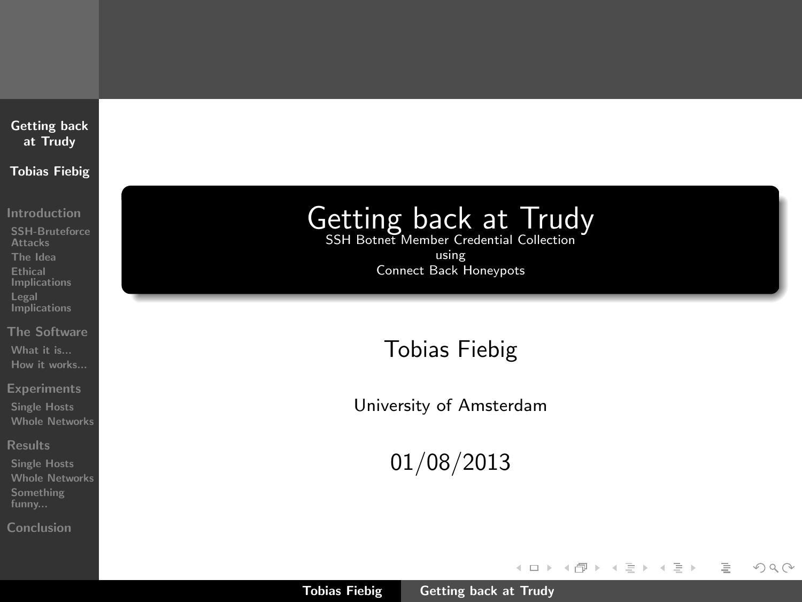### [Getting back](#page-52-0) at Trudy Tobias Fiebig

[Introduction](#page-1-0)

[SSH-Bruteforce](#page-1-0) Attacks [The Idea](#page-2-0) Ethical [Implications](#page-15-0) Legal **[Implications](#page-19-0)** 

[The Software](#page-21-0) [What it is...](#page-21-0) [How it works...](#page-25-0)

[Experiments](#page-26-0)

[Single Hosts](#page-26-0) [Whole Networks](#page-27-0)

[Results](#page-28-0)

[Single Hosts](#page-28-0) [Whole Networks](#page-31-0) [Something](#page-36-0)

[Conclusion](#page-41-0)

# Getting back at Trudy

using Connect Back Honeypots

Tobias Fiebig

University of Amsterdam

01/08/2013

イロト イ部ト イミト イミト

<span id="page-0-0"></span>言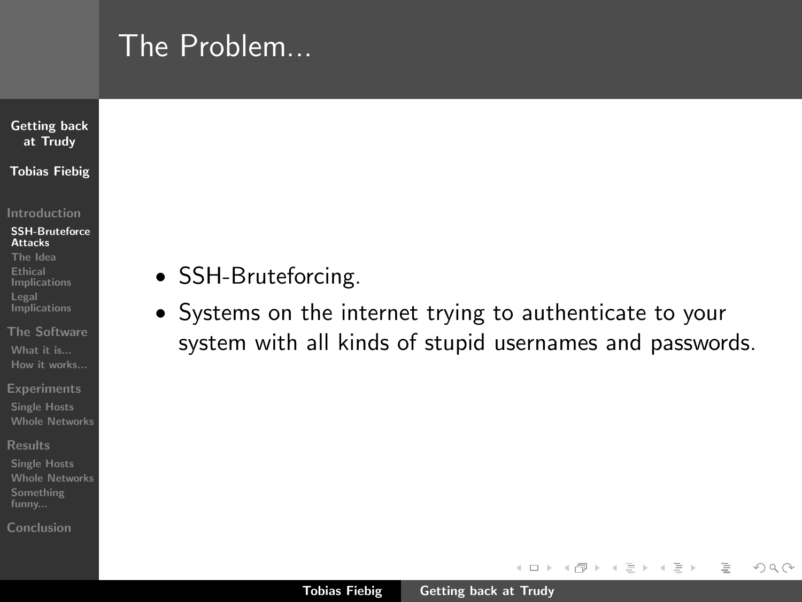## The Problem...

### [Getting back](#page-0-0) at Trudy Tobias Fiebig

#### [Introduction](#page-1-0)

#### [SSH-Bruteforce](#page-1-0) Attacks

- [The Idea](#page-2-0) Ethical [Implications](#page-15-0) Legal **[Implications](#page-19-0)**
- [The Software](#page-21-0) [What it is...](#page-21-0) [How it works...](#page-25-0)
- **[Experiments](#page-26-0)**
- [Single Hosts](#page-26-0) [Whole Networks](#page-27-0)
- [Results](#page-28-0)
- [Whole Networks](#page-31-0) [Something](#page-36-0) funny...
- [Conclusion](#page-41-0)
- SSH-Bruteforcing.
- Systems on the internet trying to authenticate to your system with all kinds of stupid usernames and passwords.

イロン イ母ン イモン イモン

<span id="page-1-0"></span> $\equiv$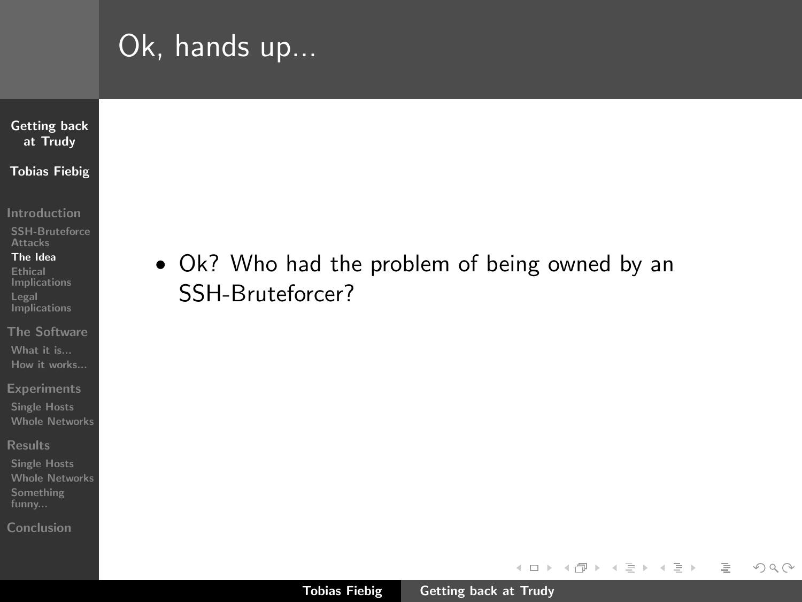## Ok, hands up...

### [Getting back](#page-0-0) at Trudy Tobias Fiebig

[Introduction](#page-1-0)

[SSH-Bruteforce](#page-1-0) Attacks

#### [The Idea](#page-3-0)

Ethical [Implications](#page-15-0) Legal **[Implications](#page-19-0)** 

[The Software](#page-21-0) [What it is...](#page-21-0) [How it works...](#page-25-0)

[Experiments](#page-26-0)

[Single Hosts](#page-26-0) [Whole Networks](#page-27-0)

[Results](#page-28-0)

[Single Hosts](#page-28-0) [Whole Networks](#page-31-0) [Something](#page-36-0)

[Conclusion](#page-41-0)

• Ok? Who had the problem of being owned by an SSH-Bruteforcer?

イロト イ部 トイヨ トイヨト

 $\equiv$ 

<span id="page-2-0"></span> $\mathcal{L} \subset \mathcal{L}$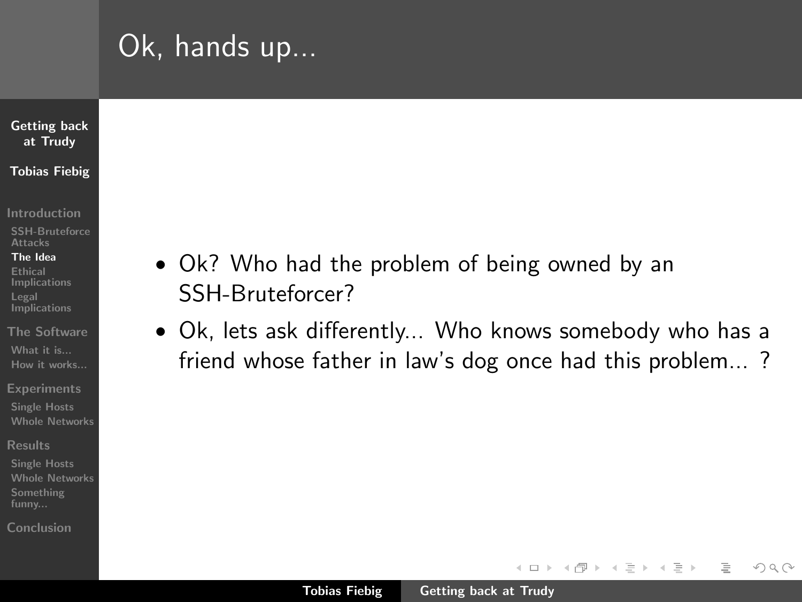## Ok, hands up...

### [Getting back](#page-0-0) at Trudy Tobias Fiebig

[Introduction](#page-1-0)

[SSH-Bruteforce](#page-1-0) Attacks

#### [The Idea](#page-2-0)

Ethical [Implications](#page-15-0) **Legal [Implications](#page-19-0)** 

[The Software](#page-21-0) [What it is...](#page-21-0) [How it works...](#page-25-0)

**[Experiments](#page-26-0)** 

[Single Hosts](#page-26-0) [Whole Networks](#page-27-0)

[Results](#page-28-0)

[Single Hosts](#page-28-0) [Whole Networks](#page-31-0) [Something](#page-36-0) funny...

[Conclusion](#page-41-0)

- Ok? Who had the problem of being owned by an SSH-Bruteforcer?
- Ok, lets ask differently... Who knows somebody who has a friend whose father in law's dog once had this problem... ?

イロト イ母 トラ ミッ イチャ

 $\equiv$ 

<span id="page-3-0"></span> $\Omega$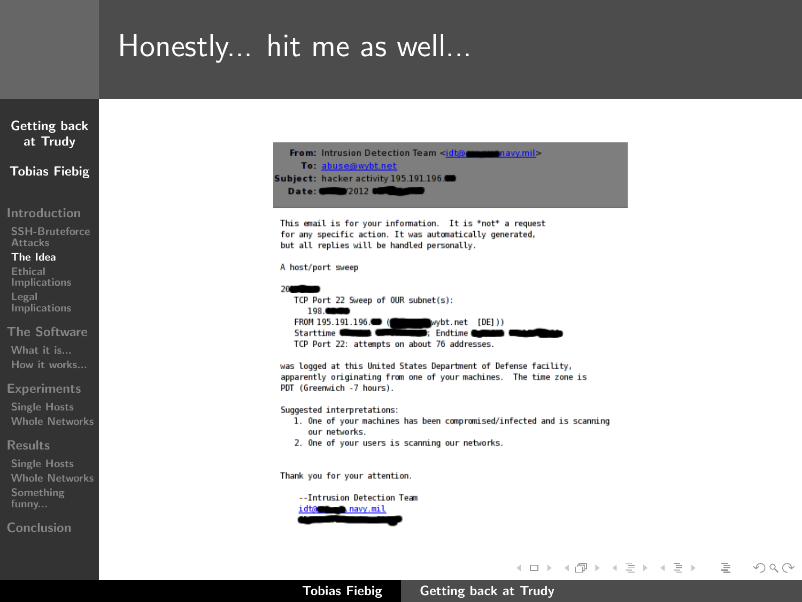## Honestly... hit me as well...



Tobias Fiebig [Getting back at Trudy](#page-0-0)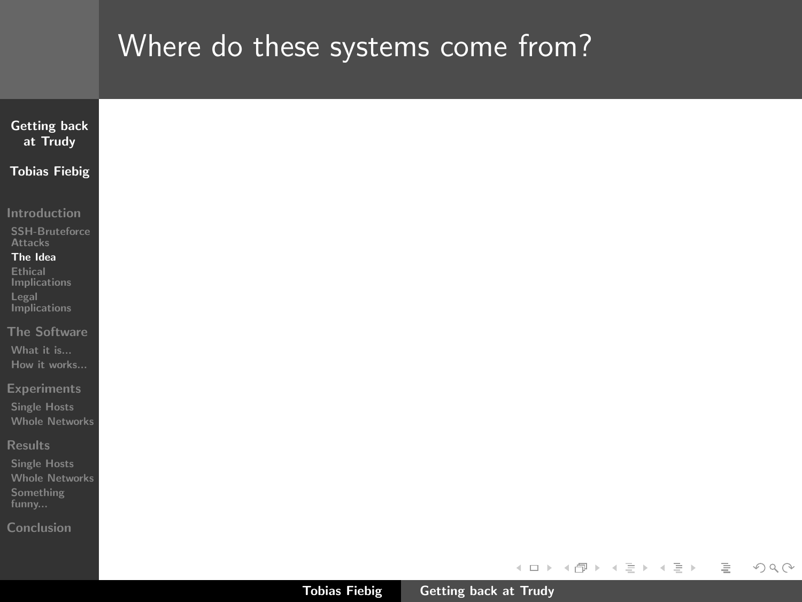| <b>Getting back</b>                          |  |  |                         |  |
|----------------------------------------------|--|--|-------------------------|--|
| at Trudy                                     |  |  |                         |  |
| <b>Tobias Fiebig</b>                         |  |  |                         |  |
| Introduction                                 |  |  |                         |  |
| SSH-Bruteforce<br><b>Attacks</b>             |  |  |                         |  |
| The Idea                                     |  |  |                         |  |
| <b>Ethical</b><br><b>Implications</b>        |  |  |                         |  |
| Legal                                        |  |  |                         |  |
| Implications                                 |  |  |                         |  |
| The Software                                 |  |  |                         |  |
| What it is<br>How it works                   |  |  |                         |  |
|                                              |  |  |                         |  |
| <b>Experiments</b>                           |  |  |                         |  |
| <b>Single Hosts</b><br><b>Whole Networks</b> |  |  |                         |  |
|                                              |  |  |                         |  |
| <b>Results</b>                               |  |  |                         |  |
| <b>Single Hosts</b><br><b>Whole Networks</b> |  |  |                         |  |
| Something                                    |  |  |                         |  |
| funny                                        |  |  |                         |  |
| Conclusion                                   |  |  |                         |  |
|                                              |  |  |                         |  |
|                                              |  |  | イロト イ団 トイミト イミト ニミー りんぴ |  |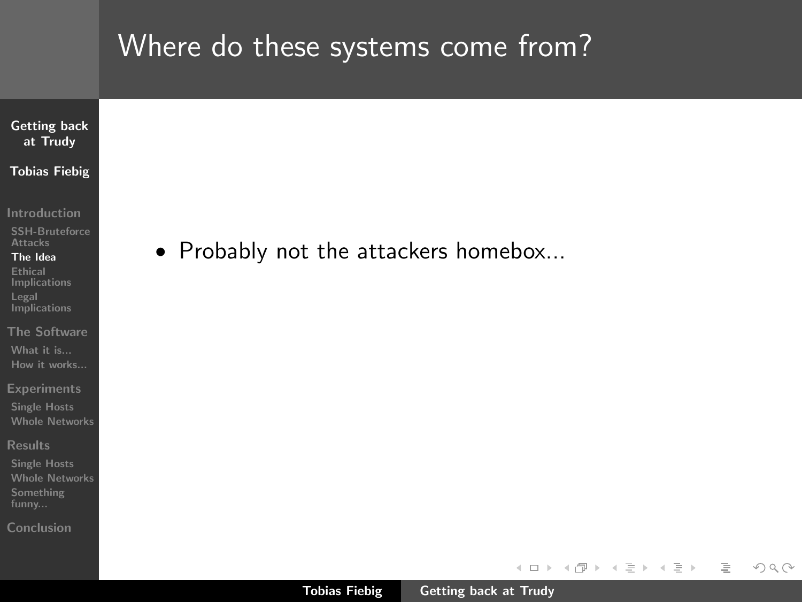

[Introduction](#page-1-0)

[SSH-Bruteforce](#page-1-0) **Attacks** 

[The Idea](#page-2-0) Ethical

[Implications](#page-15-0) Legal **[Implications](#page-19-0)** 

[The Software](#page-21-0) [What it is...](#page-21-0) [How it works...](#page-25-0)

**[Experiments](#page-26-0)** 

[Single Hosts](#page-26-0) [Whole Networks](#page-27-0)

[Results](#page-28-0)

[Single Hosts](#page-28-0) [Whole Networks](#page-31-0) [Something](#page-36-0)

[Conclusion](#page-41-0)

• Probably not the attackers homebox...

イロン イ母ン イヨン イヨン

 $\equiv$ 

 $\mathcal{L} \subset \mathcal{L}$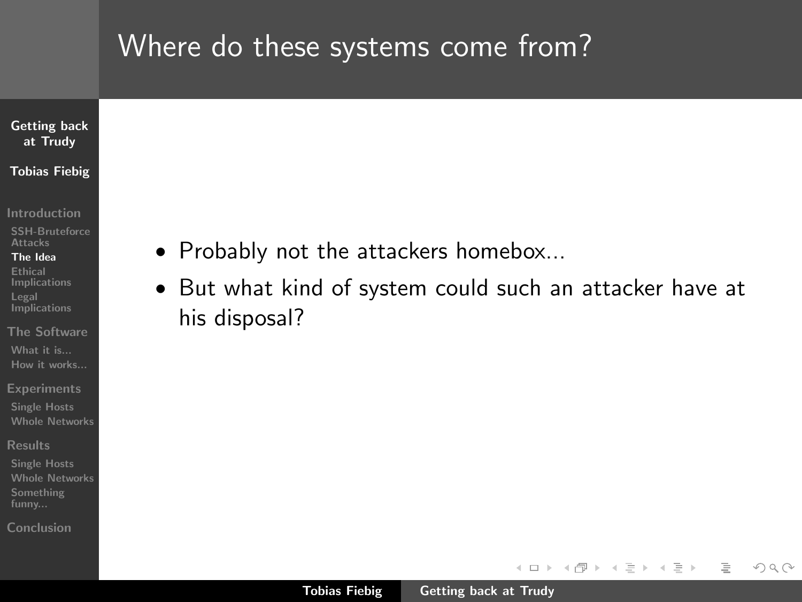### [Getting back](#page-0-0) at Trudy Tobias Fiebig

[Introduction](#page-1-0)

[SSH-Bruteforce](#page-1-0) Attacks

[The Idea](#page-2-0)

Ethical [Implications](#page-15-0) Legal **[Implications](#page-19-0)** 

[The Software](#page-21-0) [What it is...](#page-21-0) [How it works...](#page-25-0)

**[Experiments](#page-26-0)** 

[Single Hosts](#page-26-0) [Whole Networks](#page-27-0)

[Results](#page-28-0)

[Single Hosts](#page-28-0) [Whole Networks](#page-31-0) [Something](#page-36-0)

[Conclusion](#page-41-0)

- Probably not the attackers homebox...
- But what kind of system could such an attacker have at his disposal?

イロン イ母ン イモン イモン

 $\equiv$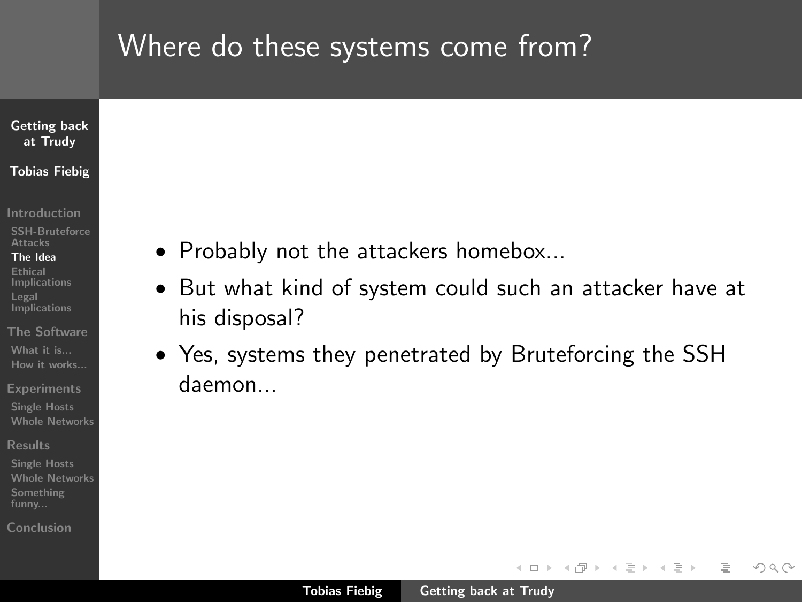### [Getting back](#page-0-0) at Trudy Tobias Fiebig

[Introduction](#page-1-0)

[SSH-Bruteforce](#page-1-0) Attacks

#### [The Idea](#page-2-0)

Ethical [Implications](#page-15-0) Legal **[Implications](#page-19-0)** 

[The Software](#page-21-0) [What it is...](#page-21-0) [How it works...](#page-25-0)

**[Experiments](#page-26-0)** [Single Hosts](#page-26-0)

[Whole Networks](#page-27-0)

[Results](#page-28-0)

[Single Hosts](#page-28-0) [Whole Networks](#page-31-0) [Something](#page-36-0) funny...

[Conclusion](#page-41-0)

- Probably not the attackers homebox...
- But what kind of system could such an attacker have at his disposal?
- Yes, systems they penetrated by Bruteforcing the SSH daemon...

イロト イ母 トラ ミッ イチャ

 $\Omega$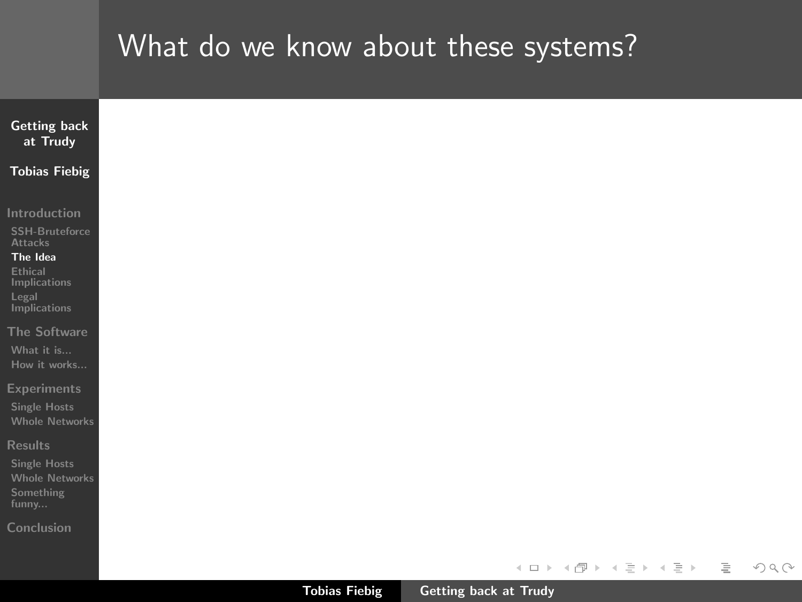| <b>Getting back</b>                                                 |  |  |  |  |  |  |                            |    |
|---------------------------------------------------------------------|--|--|--|--|--|--|----------------------------|----|
| at Trudy                                                            |  |  |  |  |  |  |                            |    |
| <b>Tobias Fiebig</b>                                                |  |  |  |  |  |  |                            |    |
| Introduction                                                        |  |  |  |  |  |  |                            |    |
| SSH-Bruteforce<br><b>Attacks</b>                                    |  |  |  |  |  |  |                            |    |
| The Idea<br><b>Ethical</b><br>Implications<br>Legal<br>Implications |  |  |  |  |  |  |                            |    |
| The Software<br>What it is<br>How it works                          |  |  |  |  |  |  |                            |    |
| <b>Experiments</b><br><b>Single Hosts</b><br><b>Whole Networks</b>  |  |  |  |  |  |  |                            |    |
| Results                                                             |  |  |  |  |  |  |                            |    |
| <b>Single Hosts</b><br><b>Whole Networks</b><br>Something<br>funny  |  |  |  |  |  |  |                            |    |
| Conclusion                                                          |  |  |  |  |  |  |                            |    |
|                                                                     |  |  |  |  |  |  |                            |    |
|                                                                     |  |  |  |  |  |  | K ロ > K @ > K 경 > K 경 > 시경 | OQ |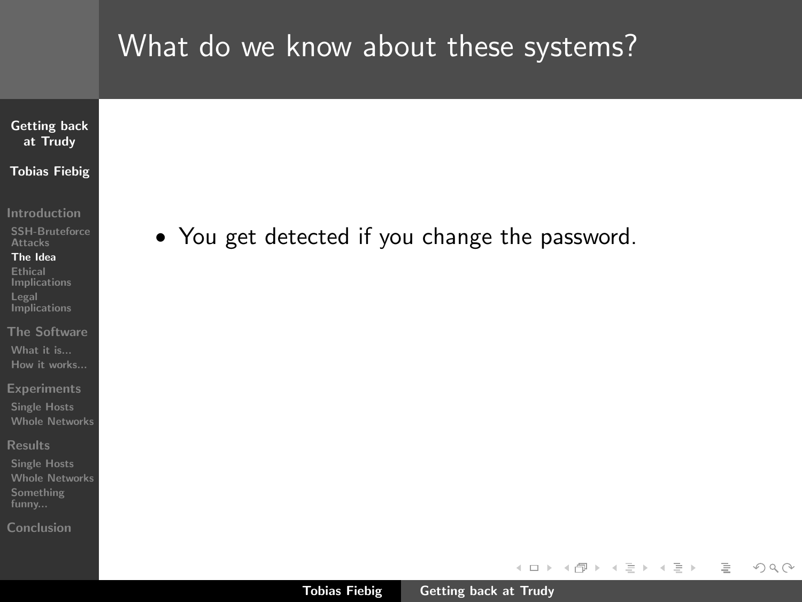### [Getting back](#page-0-0) at Trudy Tobias Fiebig

[Introduction](#page-1-0)

[SSH-Bruteforce](#page-1-0) Attacks

#### [The Idea](#page-2-0)

Ethical [Implications](#page-15-0) Legal **[Implications](#page-19-0)** 

[The Software](#page-21-0) [What it is...](#page-21-0) [How it works...](#page-25-0)

**[Experiments](#page-26-0)** 

[Single Hosts](#page-26-0) [Whole Networks](#page-27-0)

[Results](#page-28-0)

[Single Hosts](#page-28-0) [Whole Networks](#page-31-0) [Something](#page-36-0)

[Conclusion](#page-41-0)

• You get detected if you change the password.

イロン イ母ン イヨン イヨン

言

 $\mathcal{L} \subset \mathcal{L}$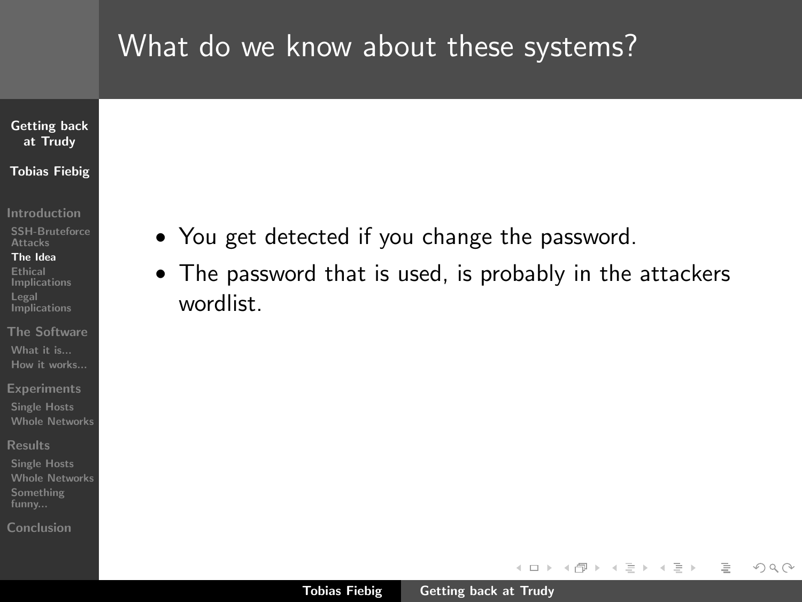### [Getting back](#page-0-0) at Trudy Tobias Fiebig

#### [Introduction](#page-1-0)

[SSH-Bruteforce](#page-1-0) Attacks

#### [The Idea](#page-2-0)

Ethical [Implications](#page-15-0) Legal **[Implications](#page-19-0)** 

[The Software](#page-21-0) [What it is...](#page-21-0) [How it works...](#page-25-0)

**[Experiments](#page-26-0)** 

[Single Hosts](#page-26-0) [Whole Networks](#page-27-0)

[Results](#page-28-0)

[Single Hosts](#page-28-0) [Whole Networks](#page-31-0) [Something](#page-36-0) funny...

[Conclusion](#page-41-0)

- You get detected if you change the password.
- The password that is used, is probably in the attackers wordlist.

イロト イ母 トラ ミッ イチャ

 $\equiv$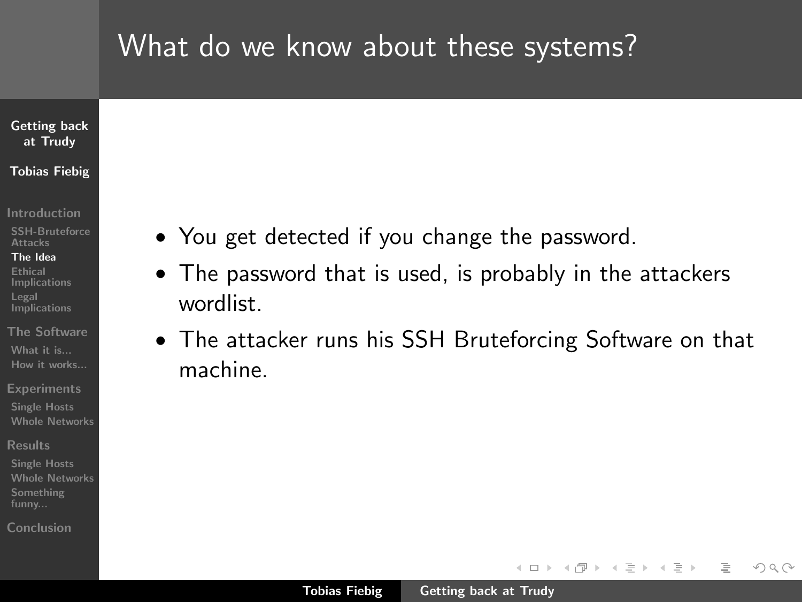### [Getting back](#page-0-0) at Trudy Tobias Fiebig

#### [Introduction](#page-1-0)

[SSH-Bruteforce](#page-1-0) Attacks

#### [The Idea](#page-2-0)

- Ethical [Implications](#page-15-0) Legal **[Implications](#page-19-0)**
- [The Software](#page-21-0) [What it is...](#page-21-0) [How it works...](#page-25-0)
- **[Experiments](#page-26-0)**
- [Single Hosts](#page-26-0) [Whole Networks](#page-27-0)
- [Results](#page-28-0)
- [Single Hosts](#page-28-0) [Whole Networks](#page-31-0) [Something](#page-36-0) funny...
- [Conclusion](#page-41-0)
- You get detected if you change the password.
- The password that is used, is probably in the attackers wordlist.
- The attacker runs his SSH Bruteforcing Software on that machine.

イロト イ母 トラ ミッ イチャ

 $\Omega$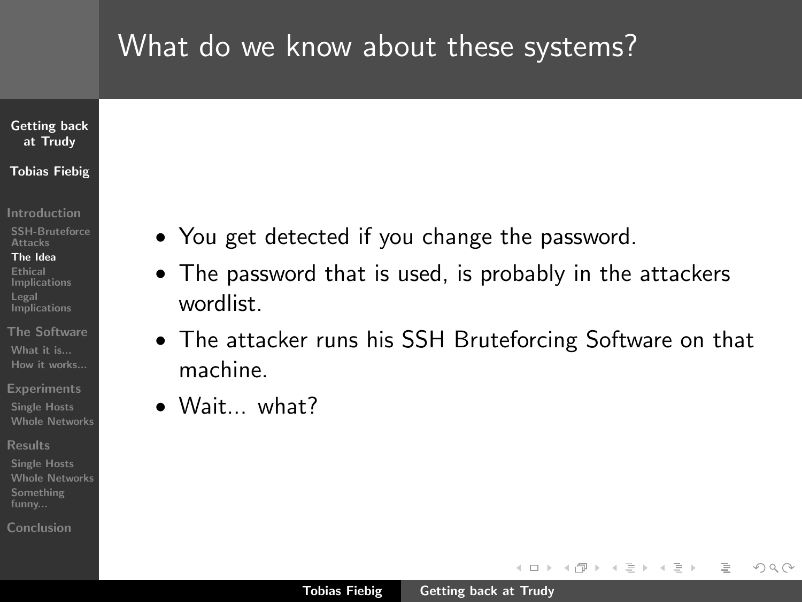### [Getting back](#page-0-0) at Trudy Tobias Fiebig

#### [Introduction](#page-1-0)

[SSH-Bruteforce](#page-1-0) Attacks

#### [The Idea](#page-2-0)

- Ethical [Implications](#page-15-0) Legal **[Implications](#page-19-0)**
- [The Software](#page-21-0) [What it is...](#page-21-0) [How it works...](#page-25-0)
- **[Experiments](#page-26-0)**
- [Single Hosts](#page-26-0) [Whole Networks](#page-27-0)
- [Results](#page-28-0)
- [Single Hosts](#page-28-0) [Whole Networks](#page-31-0) [Something](#page-36-0) funny...
- [Conclusion](#page-41-0)
- You get detected if you change the password.
- The password that is used, is probably in the attackers wordlist.
- The attacker runs his SSH Bruteforcing Software on that machine.
- Wait... what?

イロト イ母 トラ ミッ イチャ

 $\Omega$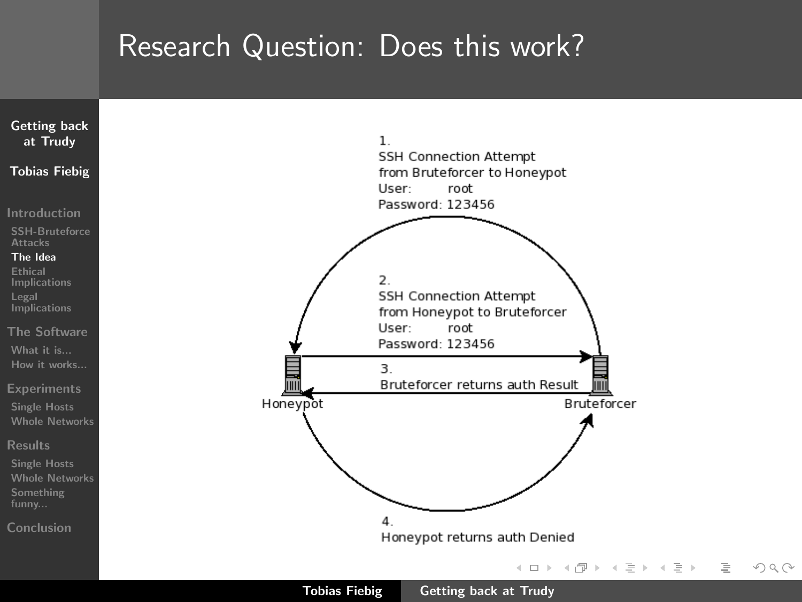## Research Question: Does this work?

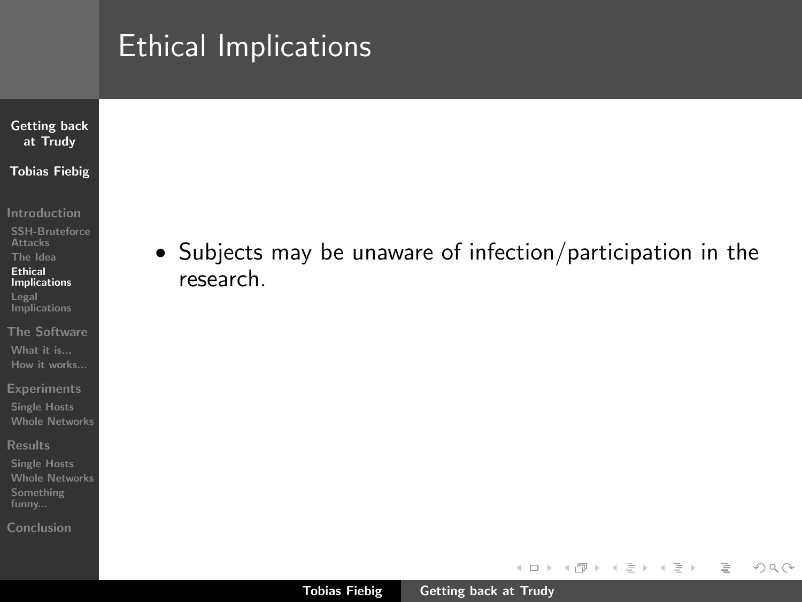### [Getting back](#page-0-0) at Trudy Tobias Fiebig

[Introduction](#page-1-0)

[SSH-Bruteforce](#page-1-0) **Attacks** 

[The Idea](#page-2-0) Ethical

[Implications](#page-18-0) Legal **[Implications](#page-19-0)** 

[The Software](#page-21-0) [What it is...](#page-21-0) [How it works...](#page-25-0)

**[Experiments](#page-26-0)** 

[Single Hosts](#page-26-0) [Whole Networks](#page-27-0)

[Results](#page-28-0)

[Single Hosts](#page-28-0) [Whole Networks](#page-31-0) [Something](#page-36-0)

[Conclusion](#page-41-0)

• Subjects may be unaware of infection/participation in the research.

イロト イ部 トイヨ トイヨト

<span id="page-15-0"></span> $\equiv$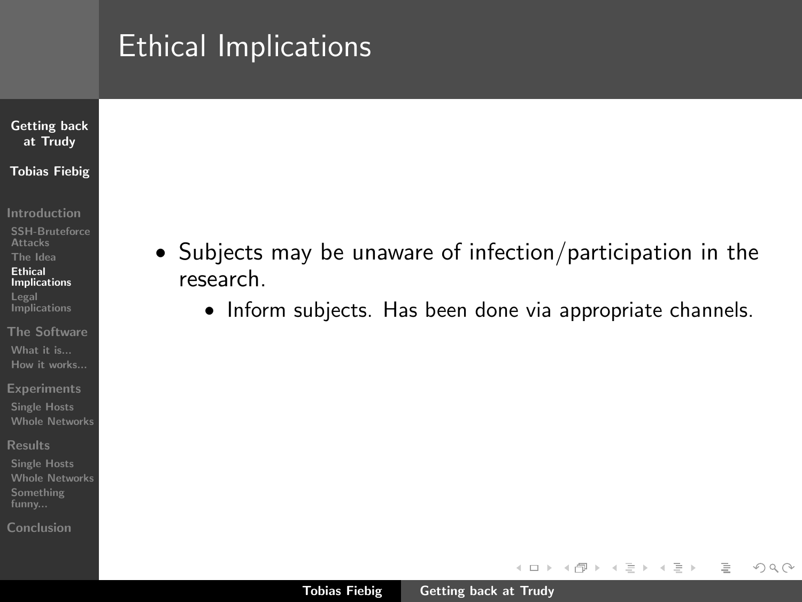### [Getting back](#page-0-0) at Trudy Tobias Fiebig

- [Introduction](#page-1-0)
- [SSH-Bruteforce](#page-1-0) Attacks
- [The Idea](#page-2-0) Ethical
- [Implications](#page-18-0) Legal **[Implications](#page-19-0)**
- [The Software](#page-21-0) [What it is...](#page-21-0) [How it works...](#page-25-0)
- **[Experiments](#page-26-0)**
- [Single Hosts](#page-26-0) [Whole Networks](#page-27-0)
- [Results](#page-28-0)
- [Whole Networks](#page-31-0) [Something](#page-36-0)
- [Conclusion](#page-41-0)
- Subjects may be unaware of infection/participation in the research.
	- Inform subjects. Has been done via appropriate channels.

イロン イ母ン イヨン イヨン

言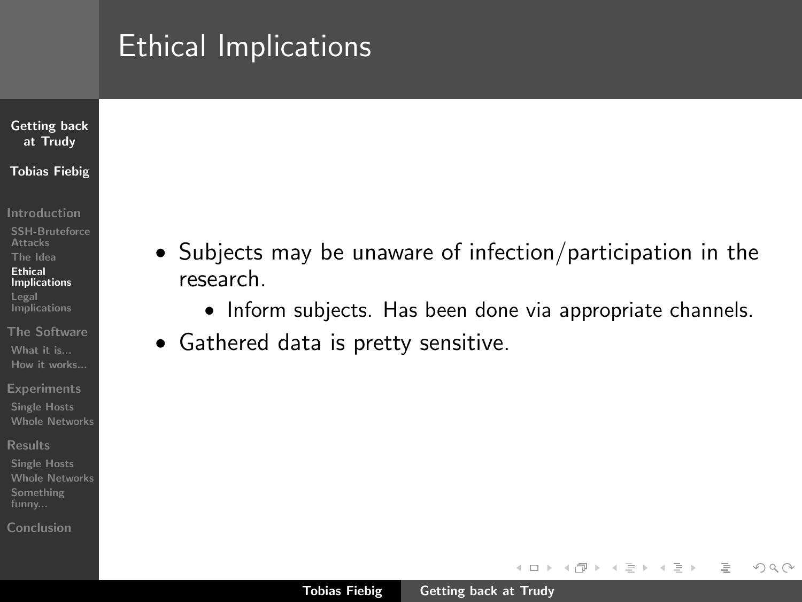### [Getting back](#page-0-0) at Trudy Tobias Fiebig

- [Introduction](#page-1-0)
- [SSH-Bruteforce](#page-1-0) Attacks
- [The Idea](#page-2-0) Ethical
- [Implications](#page-18-0) Legal **[Implications](#page-19-0)**
- [The Software](#page-21-0) [What it is...](#page-21-0) [How it works...](#page-25-0)
- **[Experiments](#page-26-0)**
- [Single Hosts](#page-26-0) [Whole Networks](#page-27-0)
- [Results](#page-28-0)
- [Single Hosts](#page-28-0) [Whole Networks](#page-31-0) [Something](#page-36-0) funny...
- [Conclusion](#page-41-0)
- Subjects may be unaware of infection/participation in the research.
	- Inform subjects. Has been done via appropriate channels.

イロト マ母 トマチャ マチャ

 $\equiv$ 

 $OQ$ 

• Gathered data is pretty sensitive.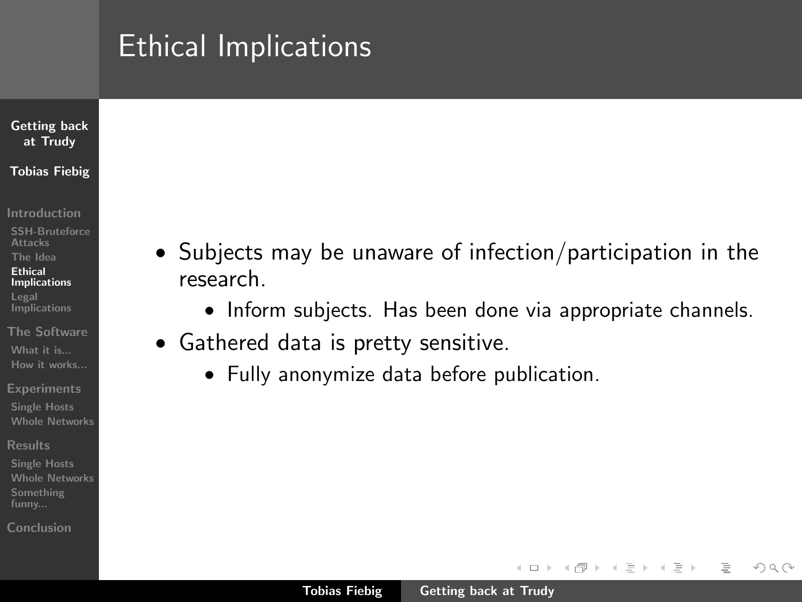### [Getting back](#page-0-0) at Trudy Tobias Fiebig

- [Introduction](#page-1-0)
- [SSH-Bruteforce](#page-1-0) Attacks
- [The Idea](#page-2-0) Ethical
- [Implications](#page-15-0) Legal **[Implications](#page-19-0)**
- [The Software](#page-21-0) [What it is...](#page-21-0) [How it works...](#page-25-0)
- **[Experiments](#page-26-0)**
- [Single Hosts](#page-26-0) [Whole Networks](#page-27-0)
- [Results](#page-28-0)
- [Single Hosts](#page-28-0) [Whole Networks](#page-31-0) [Something](#page-36-0) funny...
- [Conclusion](#page-41-0)
- Subjects may be unaware of infection/participation in the research.
	- Inform subjects. Has been done via appropriate channels.

イロト イ母 トラ ミッ イチャ

<span id="page-18-0"></span> $\Omega$ 

- Gathered data is pretty sensitive.
	- Fully anonymize data before publication.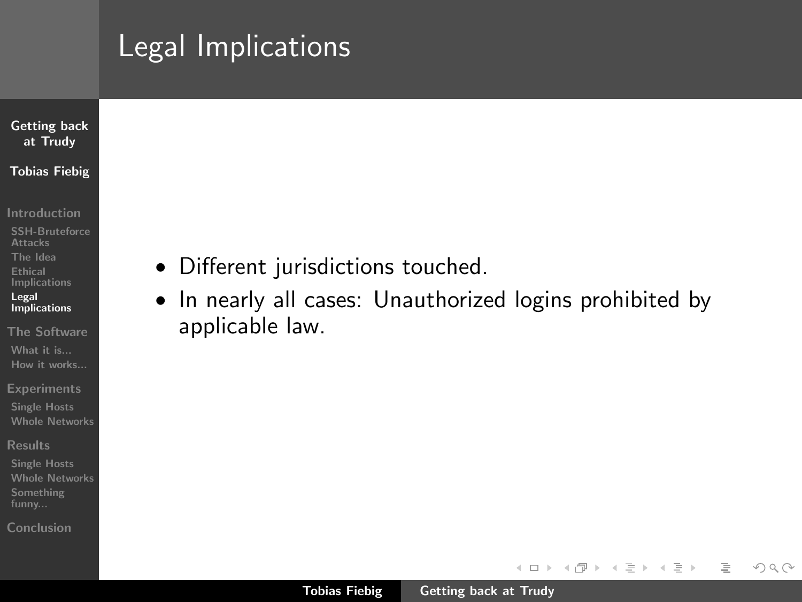# Legal Implications

## [Getting back](#page-0-0) at Trudy Tobias Fiebig

- [Introduction](#page-1-0)
- [SSH-Bruteforce](#page-1-0) Attacks [The Idea](#page-2-0) Ethical [Implications](#page-15-0) Legal [Implications](#page-20-0)
- [The Software](#page-21-0) [What it is...](#page-21-0) [How it works...](#page-25-0)
- **[Experiments](#page-26-0)**
- [Single Hosts](#page-26-0) [Whole Networks](#page-27-0)
- [Results](#page-28-0)
- [Single Hosts](#page-28-0) [Whole Networks](#page-31-0) [Something](#page-36-0)
- [Conclusion](#page-41-0)
- Different jurisdictions touched.
- In nearly all cases: Unauthorized logins prohibited by applicable law.

イロン イ母ン イヨン イヨン

<span id="page-19-0"></span>言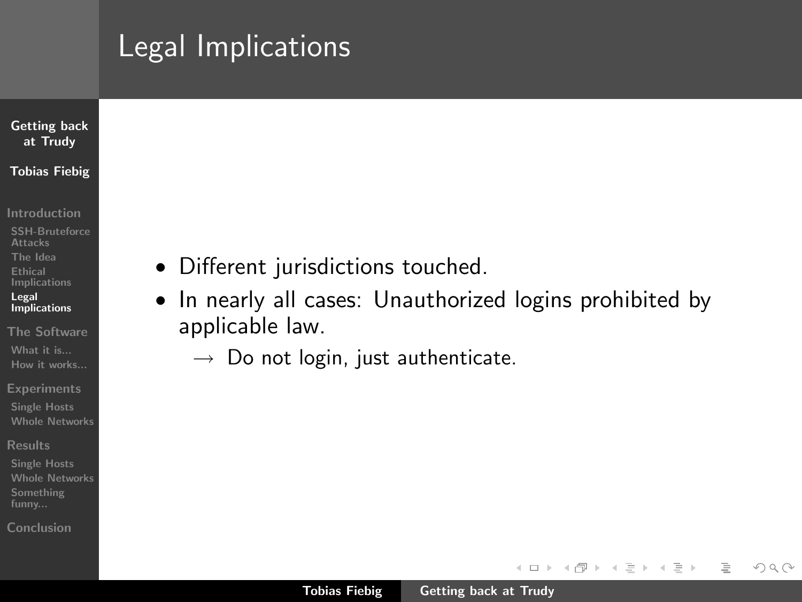# Legal Implications

## [Getting back](#page-0-0) at Trudy Tobias Fiebig

- [Introduction](#page-1-0)
- [SSH-Bruteforce](#page-1-0) Attacks [The Idea](#page-2-0) Ethical [Implications](#page-15-0) Legal [Implications](#page-19-0)
- [The Software](#page-21-0) [What it is...](#page-21-0) [How it works...](#page-25-0)
- **[Experiments](#page-26-0)**
- [Single Hosts](#page-26-0) [Whole Networks](#page-27-0)
- [Results](#page-28-0)
- [Whole Networks](#page-31-0) [Something](#page-36-0)
- [Conclusion](#page-41-0)
- Different jurisdictions touched.
- In nearly all cases: Unauthorized logins prohibited by applicable law.
	- $\rightarrow$  Do not login, just authenticate.

イロン イ母ン イヨン イヨン

<span id="page-20-0"></span> $\equiv$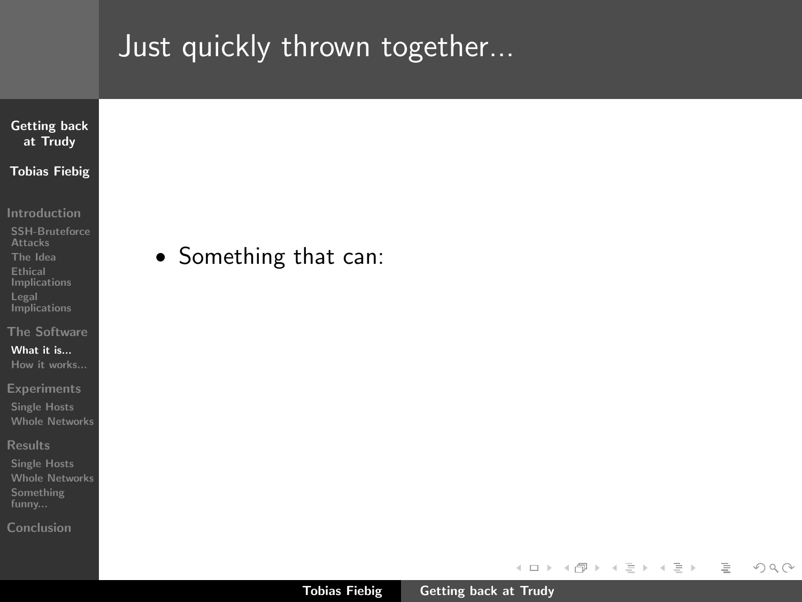[Conclusion](#page-41-0)



Tobias Fiebig [Getting back at Trudy](#page-0-0)

イロト イ部 トイヨ トイヨト

 $\equiv$ 

<span id="page-21-0"></span> $\mathcal{L} \subset \mathcal{L}$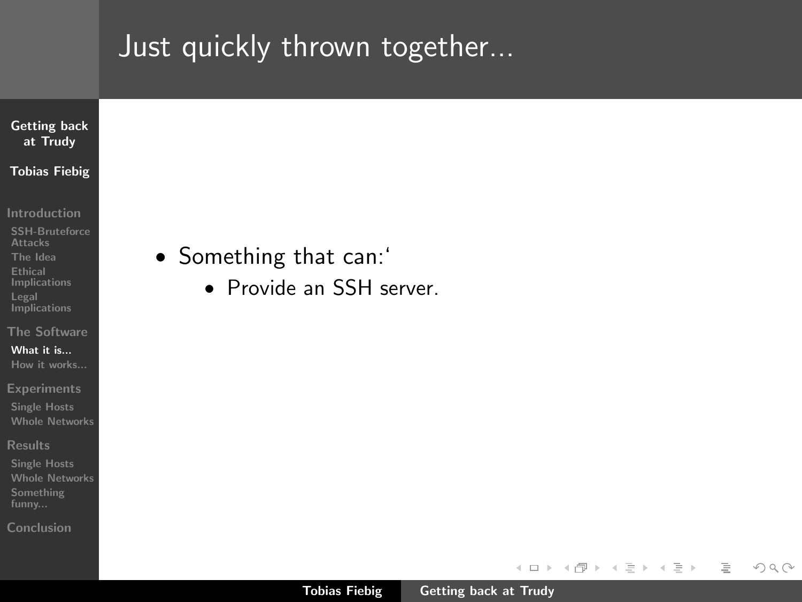

[Introduction](#page-1-0)

[SSH-Bruteforce](#page-1-0) Attacks [The Idea](#page-2-0) Ethical [Implications](#page-15-0) Legal **[Implications](#page-19-0)** 

[The Software](#page-21-0)

[What it is...](#page-24-0) [How it works...](#page-25-0)

**[Experiments](#page-26-0)** 

[Single Hosts](#page-26-0) [Whole Networks](#page-27-0)

[Results](#page-28-0)

[Single Hosts](#page-28-0) [Whole Networks](#page-31-0) [Something](#page-36-0)

[Conclusion](#page-41-0)

- Something that can:'
	- Provide an SSH server.

イロト イ部 トイヨ トイヨト

言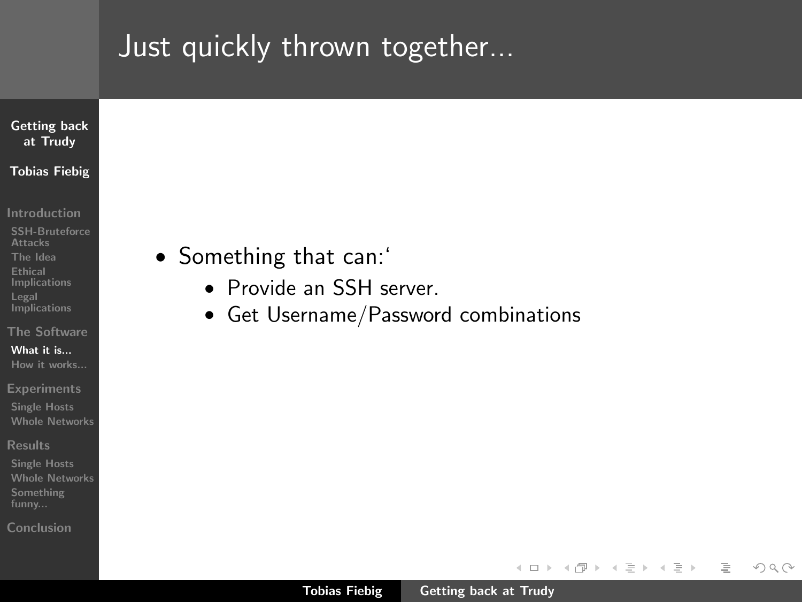### [Getting back](#page-0-0) at Trudy Tobias Fiebig

- [Introduction](#page-1-0)
- [SSH-Bruteforce](#page-1-0) Attacks [The Idea](#page-2-0) Ethical [Implications](#page-15-0) Legal **[Implications](#page-19-0)**
- [The Software](#page-21-0)
- [What it is...](#page-24-0) [How it works...](#page-25-0)
- **[Experiments](#page-26-0)**
- [Single Hosts](#page-26-0) [Whole Networks](#page-27-0)
- [Results](#page-28-0)
- [Single Hosts](#page-28-0) [Whole Networks](#page-31-0) [Something](#page-36-0)
- [Conclusion](#page-41-0)
- Something that can:'
	- Provide an SSH server.
	- Get Username/Password combinations

イロン イ母ン イヨン イヨン

 $\equiv$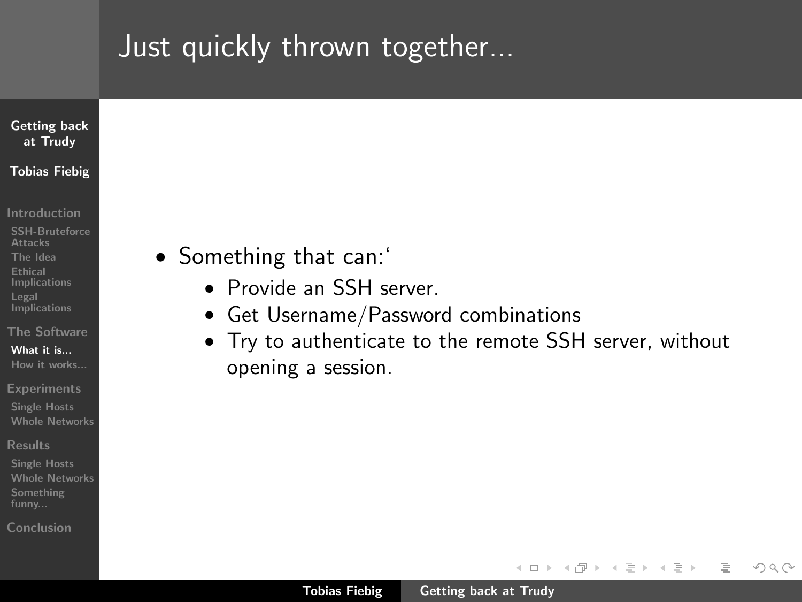### [Getting back](#page-0-0) at Trudy Tobias Fiebig

- [Introduction](#page-1-0)
- [SSH-Bruteforce](#page-1-0) Attacks [The Idea](#page-2-0) Ethical [Implications](#page-15-0) Legal **[Implications](#page-19-0)**
- [The Software](#page-21-0)
- [What it is...](#page-21-0) [How it works...](#page-25-0)
- **[Experiments](#page-26-0)**
- [Single Hosts](#page-26-0) [Whole Networks](#page-27-0)
- [Results](#page-28-0)
- [Single Hosts](#page-28-0) [Whole Networks](#page-31-0) [Something](#page-36-0) funny...
- [Conclusion](#page-41-0)
- Something that can:'
	- Provide an SSH server.
	- Get Username/Password combinations
	- Try to authenticate to the remote SSH server, without opening a session.

イロト イ母 トラ ミッ イチャ

<span id="page-24-0"></span> $\Omega$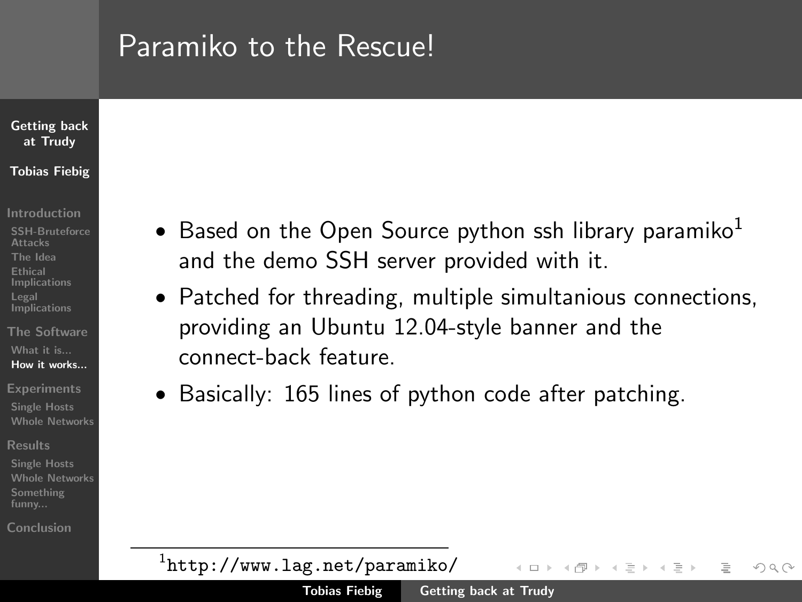## Paramiko to the Rescue!

### [Getting back](#page-0-0) at Trudy Tobias Fiebig

[Introduction](#page-1-0)

- [SSH-Bruteforce](#page-1-0) **Attacks** [The Idea](#page-2-0) Ethical [Implications](#page-15-0) Legal **[Implications](#page-19-0)**
- [The Software](#page-21-0) [What it is...](#page-21-0) [How it works...](#page-25-0)
- **[Experiments](#page-26-0)**
- [Single Hosts](#page-26-0) [Whole Networks](#page-27-0)
- [Results](#page-28-0)
- [Single Hosts](#page-28-0) [Whole Networks](#page-31-0) [Something](#page-36-0) funny...

[Conclusion](#page-41-0)

- Based on the Open Source python ssh library paramiko<sup>1</sup> and the demo SSH server provided with it.
- Patched for threading, multiple simultanious connections, providing an Ubuntu 12.04-style banner and the connect-back feature.
- Basically: 165 lines of python code after patching.

1 <http://www.lag.net/paramiko/> イロト イ母 トイチト

<span id="page-25-0"></span> $\Omega \Omega$ 

手下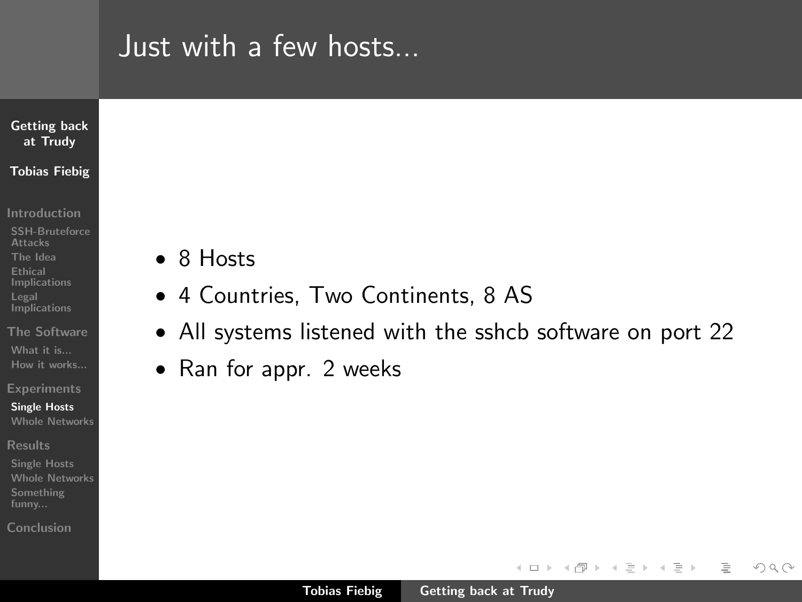## Just with a few hosts...



- [Introduction](#page-1-0)
- [SSH-Bruteforce](#page-1-0) Attacks [The Idea](#page-2-0) Ethical [Implications](#page-15-0) Legal **[Implications](#page-19-0)**
- [The Software](#page-21-0) [What it is...](#page-21-0) [How it works...](#page-25-0)
- **[Experiments](#page-26-0)**
- [Single Hosts](#page-26-0) [Whole Networks](#page-27-0)
- [Results](#page-28-0)
- [Whole Networks](#page-31-0) [Something](#page-36-0)
- [Conclusion](#page-41-0)
- 8 Hosts
- 4 Countries, Two Continents, 8 AS
- All systems listened with the sshcb software on port 22
- Ran for appr. 2 weeks

イロン イ母ン イヨン イヨン

<span id="page-26-0"></span>言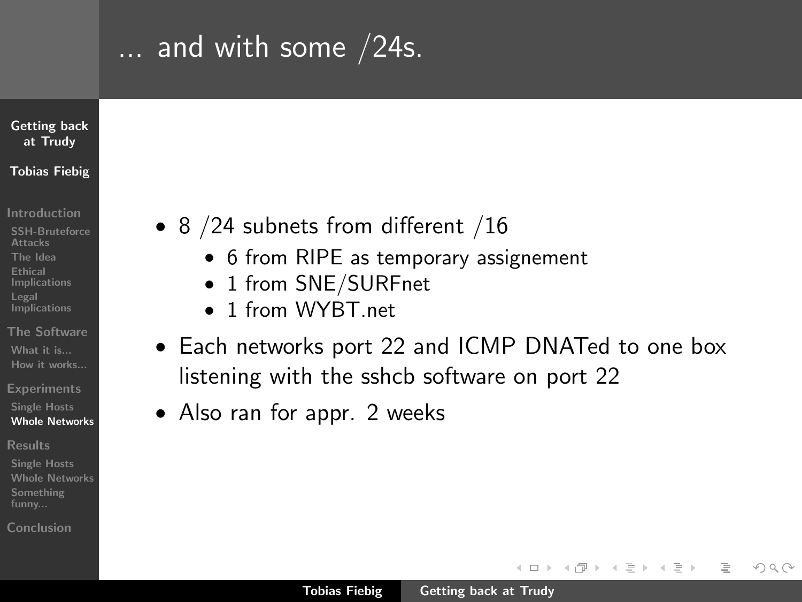## ... and with some /24s.

### [Getting back](#page-0-0) at Trudy Tobias Fiebig

- [Introduction](#page-1-0)
- [SSH-Bruteforce](#page-1-0) Attacks [The Idea](#page-2-0) Ethical [Implications](#page-15-0) Legal **[Implications](#page-19-0)**
- [The Software](#page-21-0) [What it is...](#page-21-0) [How it works...](#page-25-0)
- **[Experiments](#page-26-0)**
- [Single Hosts](#page-26-0) [Whole Networks](#page-27-0)
- [Results](#page-28-0)
- [Single Hosts](#page-28-0) [Whole Networks](#page-31-0) [Something](#page-36-0) funny...
- [Conclusion](#page-41-0)
- 8 / 24 subnets from different / 16
	- 6 from RIPE as temporary assignement
	- 1 from SNE/SURFnet
	- 1 from WYRT net
- Each networks port 22 and ICMP DNATed to one box listening with the sshcb software on port 22
- Also ran for appr. 2 weeks

イロト イ母 トラ ミッ イチャ

<span id="page-27-0"></span> $\Omega$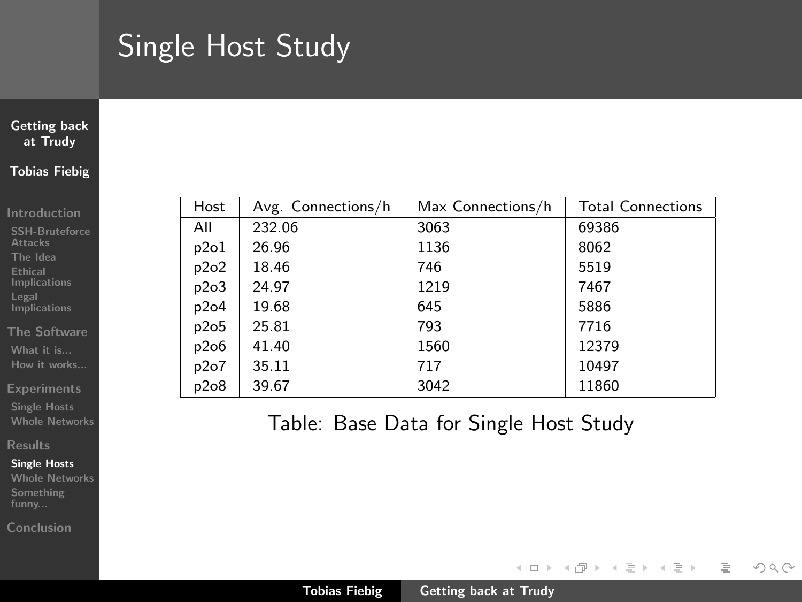## Single Host Study

### [Getting back](#page-0-0) at Trudy Tobias Fiebig

[Introduction](#page-1-0)

[SSH-Bruteforce](#page-1-0) **Attacks** [The Idea](#page-2-0) Ethical [Implications](#page-15-0) Legal **[Implications](#page-19-0)** 

[The Software](#page-21-0) [What it is...](#page-21-0) [How it works...](#page-25-0)

[Experiments](#page-26-0)

[Single Hosts](#page-26-0) [Whole Networks](#page-27-0)

[Results](#page-28-0)

#### [Single Hosts](#page-28-0)

[Whole Networks](#page-31-0) [Something](#page-36-0)

[Conclusion](#page-41-0)

| Host | Avg. Connections/h | Max Connections/h | <b>Total Connections</b> |
|------|--------------------|-------------------|--------------------------|
| All  | 232.06             | 3063              | 69386                    |
| p2o1 | 26.96              | 1136              | 8062                     |
| p2o2 | 18.46              | 746               | 5519                     |
| p2o3 | 24.97              | 1219              | 7467                     |
| p2o4 | 19.68              | 645               | 5886                     |
| p2o5 | 25.81              | 793               | 7716                     |
| p2o6 | 41.40              | 1560              | 12379                    |
| p2o7 | 35.11              | 717               | 10497                    |
| p2o8 | 39.67              | 3042              | 11860                    |

Table: Base Data for Single Host Study

イロト イ部 トイヨ トイヨト

<span id="page-28-0"></span> $\equiv$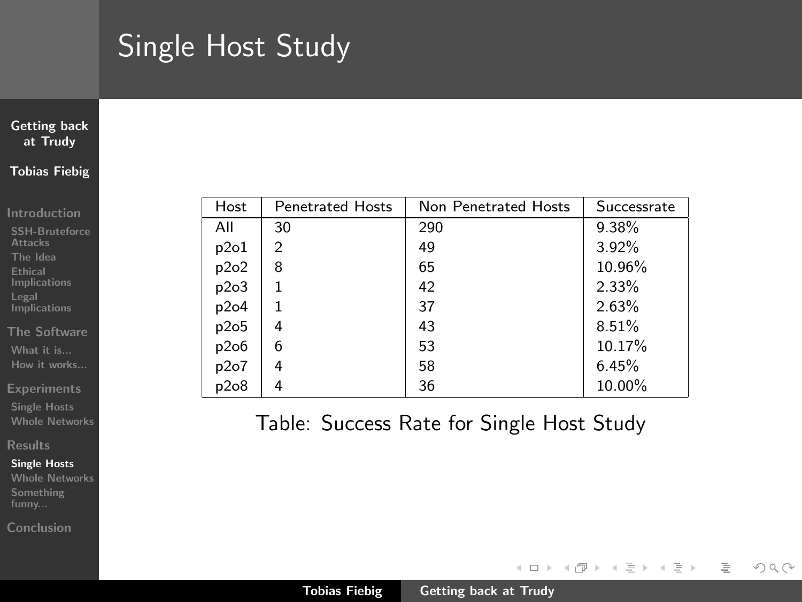## Single Host Study

### [Getting back](#page-0-0) at Trudy Tobias Fiebig

#### [Introduction](#page-1-0)

[SSH-Bruteforce](#page-1-0) **Attacks** [The Idea](#page-2-0) Ethical [Implications](#page-15-0) Legal **[Implications](#page-19-0)** 

[The Software](#page-21-0) [What it is...](#page-21-0) [How it works...](#page-25-0)

[Experiments](#page-26-0)

[Single Hosts](#page-26-0) [Whole Networks](#page-27-0)

#### [Results](#page-28-0)

#### [Single Hosts](#page-28-0)

[Whole Networks](#page-31-0) [Something](#page-36-0)

[Conclusion](#page-41-0)

| Host | <b>Penetrated Hosts</b> | Non Penetrated Hosts | Successrate |
|------|-------------------------|----------------------|-------------|
| All  | 30                      | 290                  | 9.38%       |
| p2o1 | $\overline{c}$          | 49                   | 3.92%       |
| p2o2 | 8                       | 65                   | 10.96%      |
| p2o3 |                         | 42                   | 2.33%       |
| p2o4 | 1                       | 37                   | 2.63%       |
| p2o5 | 4                       | 43                   | 8.51%       |
| p2o6 | 6                       | 53                   | 10.17%      |
| p2o7 | 4                       | 58                   | 6.45%       |
| p2o8 |                         | 36                   | 10.00%      |

## Table: Success Rate for Single Host Study

イロト イ部 トイヨ トイヨト

言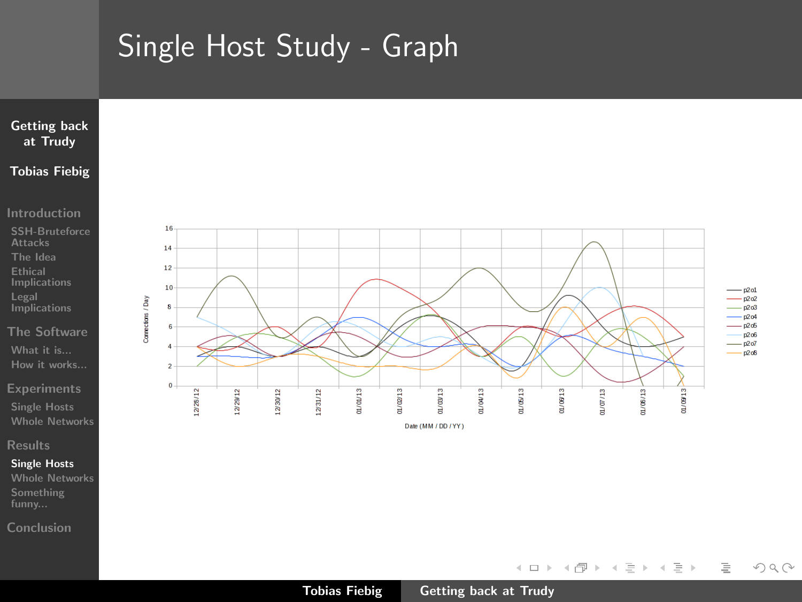# Single Host Study - Graph



#### [Introduction](#page-1-0)

- [SSH-Bruteforce](#page-1-0) **Attacks** [The Idea](#page-2-0) Ethical [Implications](#page-15-0) Legal [Implications](#page-19-0)
- [The Software](#page-21-0) [What it is...](#page-21-0) [How it works...](#page-25-0)
- 
- [Single Hosts](#page-26-0) [Whole Networks](#page-27-0)

#### [Results](#page-28-0)

#### [Single Hosts](#page-28-0)

[Whole Networks](#page-31-0) [Something](#page-36-0)

[Conclusion](#page-41-0)



←ロト ← 個 ト ← 差 ト ← 差 トー

 $\equiv$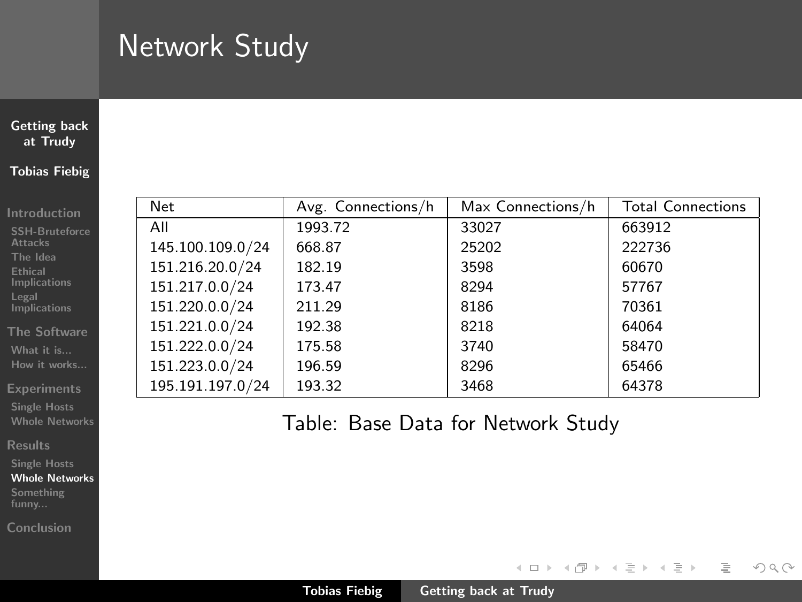# Network Study

### [Getting back](#page-0-0) at Trudy Tobias Fiebig

[Introduction](#page-1-0) [SSH-Bruteforce](#page-1-0) **Attacks** [The Idea](#page-2-0) Ethical [Implications](#page-15-0) Legal **[Implications](#page-19-0)** [The Software](#page-21-0) [What it is...](#page-21-0) [How it works...](#page-25-0) [Experiments](#page-26-0) [Single Hosts](#page-26-0) [Whole Networks](#page-27-0) [Results](#page-28-0) [Single Hosts](#page-28-0) [Whole Networks](#page-31-0)

| Net              | Avg. Connections/h | Max Connections/h | <b>Total Connections</b> |
|------------------|--------------------|-------------------|--------------------------|
| All              | 1993.72            | 33027             | 663912                   |
| 145.100.109.0/24 | 668.87             | 25202             | 222736                   |
| 151.216.20.0/24  | 182.19             | 3598              | 60670                    |
| 151.217.0.0/24   | 173.47             | 8294              | 57767                    |
| 151.220.0.0/24   | 211.29             | 8186              | 70361                    |
| 151.221.0.0/24   | 192.38             | 8218              | 64064                    |
| 151.222.0.0/24   | 175.58             | 3740              | 58470                    |
| 151.223.0.0/24   | 196.59             | 8296              | 65466                    |
| 195.191.197.0/24 | 193.32             | 3468              | 64378                    |

Table: Base Data for Network Study

イロト イ部 トイヨ トイヨト

 $\equiv$ 

<span id="page-31-0"></span> $\mathcal{L} \subset \mathcal{L}$ 

[Something](#page-36-0) [Conclusion](#page-41-0)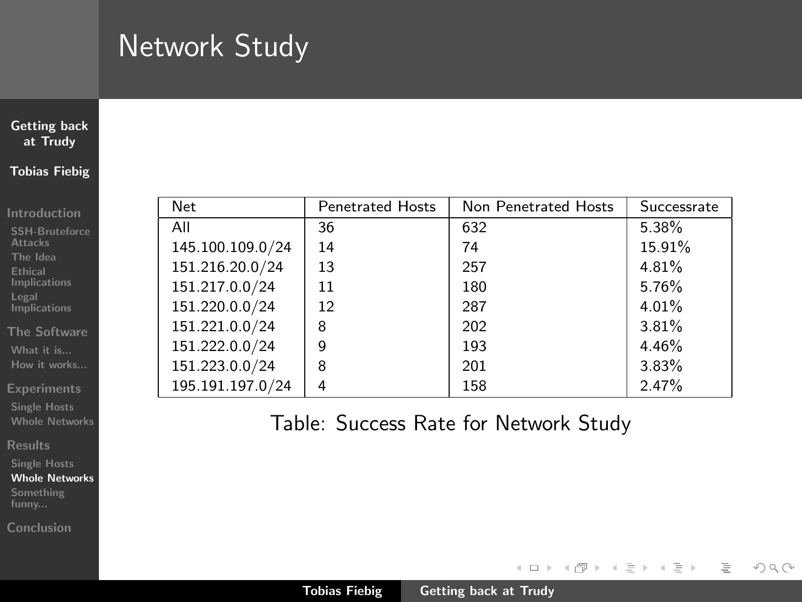# Network Study

### [Getting back](#page-0-0) at Trudy Tobias Fiebig

#### [Introduction](#page-1-0)

| <b>SSH-Bruteforce</b><br><b>Attacks</b> |
|-----------------------------------------|
| The Idea                                |
| <b>Ethical</b><br>Implications          |
| Legal<br><b>Implications</b>            |

#### [The Software](#page-21-0) [What it is...](#page-21-0) [How it works...](#page-25-0)

[Experiments](#page-26-0)

[Single Hosts](#page-26-0) [Whole Networks](#page-27-0)

[Results](#page-28-0)

[Single Hosts](#page-28-0)

[Whole Networks](#page-31-0) [Something](#page-36-0)

[Conclusion](#page-41-0)

| Net              | <b>Penetrated Hosts</b> | Non Penetrated Hosts | Successrate |
|------------------|-------------------------|----------------------|-------------|
| All              | 36                      | 632                  | 5.38%       |
| 145.100.109.0/24 | 14                      | 74                   | 15.91%      |
| 151.216.20.0/24  | 13                      | 257                  | 4.81%       |
| 151.217.0.0/24   | 11                      | 180                  | 5.76%       |
| 151.220.0.0/24   | 12                      | 287                  | 4.01%       |
| 151.221.0.0/24   | 8                       | 202                  | 3.81%       |
| 151.222.0.0/24   | 9                       | 193                  | 4.46%       |
| 151.223.0.0/24   | 8                       | 201                  | 3.83%       |
| 195.191.197.0/24 | 4                       | 158                  | 2.47%       |

## Table: Success Rate for Network Study

イロト イ部 トイヨ トイヨト

 $\equiv$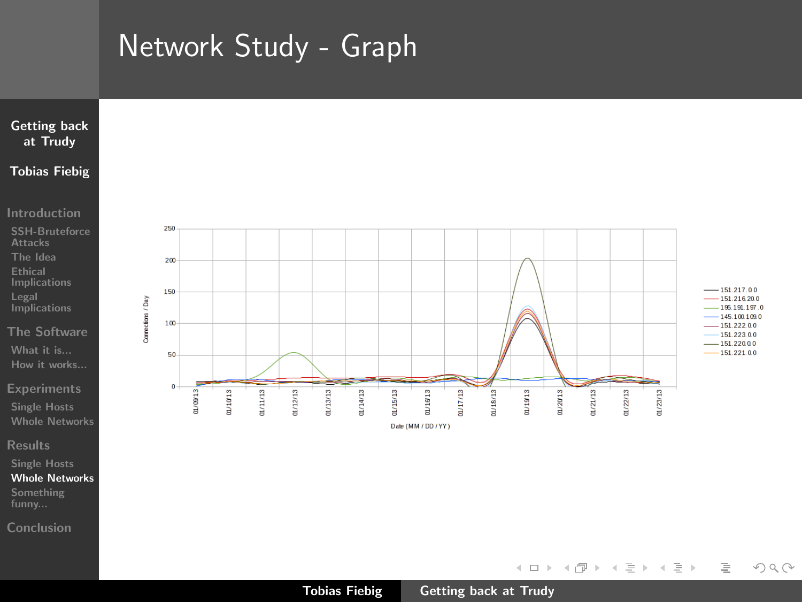## Network Study - Graph



[Introduction](#page-1-0)

[SSH-Bruteforce](#page-1-0) **Attacks** [The Idea](#page-2-0) Ethical [Implications](#page-15-0) Legal [Implications](#page-19-0)

[The Software](#page-21-0) [What it is...](#page-21-0) [How it works...](#page-25-0)

[Single Hosts](#page-26-0) [Whole Networks](#page-27-0)

[Results](#page-28-0)

[Single Hosts](#page-28-0) [Whole Networks](#page-31-0) [Something](#page-36-0)

[Conclusion](#page-41-0)



Date (MM / DD / YY)

 $-151.217.00$  $-151216200$  $-195.191.197.0$  $-1451001090$  $-151.222.00$ 151.223.0.0  $-151.22000$ 

 $\equiv$ 

 $OQ$ 

イロト イ部 トイヨ トイヨト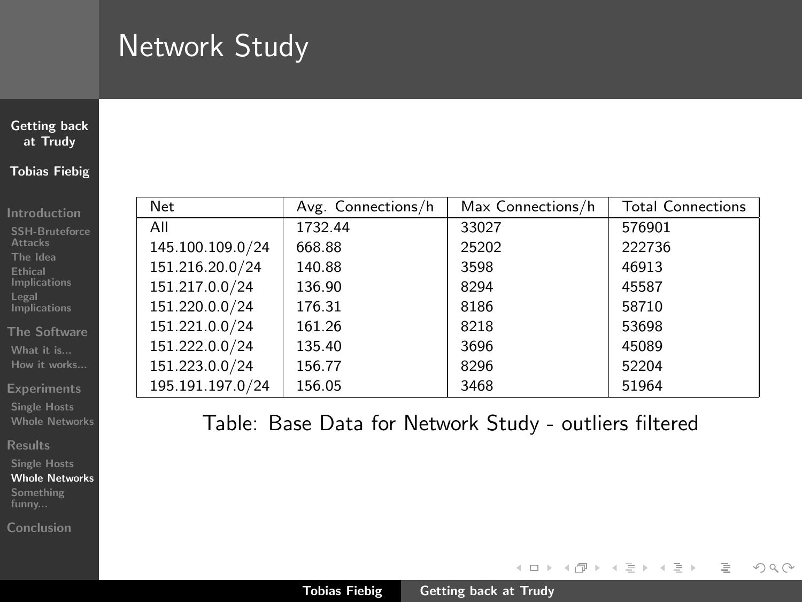# Network Study

### [Getting back](#page-0-0) at Trudy Tobias Fiebig

[Introduction](#page-1-0) [SSH-Bruteforce](#page-1-0) **Attacks** [The Idea](#page-2-0) Ethical [Implications](#page-15-0) Legal **[Implications](#page-19-0)** [The Software](#page-21-0) [What it is...](#page-21-0) [How it works...](#page-25-0) [Experiments](#page-26-0) [Single Hosts](#page-26-0) [Whole Networks](#page-27-0) [Results](#page-28-0) [Single Hosts](#page-28-0) [Whole Networks](#page-31-0)

| Net              | Avg. Connections/h | Max Connections/h | <b>Total Connections</b> |
|------------------|--------------------|-------------------|--------------------------|
| All              | 1732.44            | 33027             | 576901                   |
| 145.100.109.0/24 | 668.88             | 25202             | 222736                   |
| 151.216.20.0/24  | 140.88             | 3598              | 46913                    |
| 151.217.0.0/24   | 136.90             | 8294              | 45587                    |
| 151.220.0.0/24   | 176.31             | 8186              | 58710                    |
| 151.221.0.0/24   | 161.26             | 8218              | 53698                    |
| 151.222.0.0/24   | 135.40             | 3696              | 45089                    |
| 151.223.0.0/24   | 156.77             | 8296              | 52204                    |
| 195.191.197.0/24 | 156.05             | 3468              | 51964                    |

Table: Base Data for Network Study - outliers filtered

イロト イ部 トイヨ トイヨト

 $\equiv$ 

 $OQ$ 

[Something](#page-36-0) [Conclusion](#page-41-0)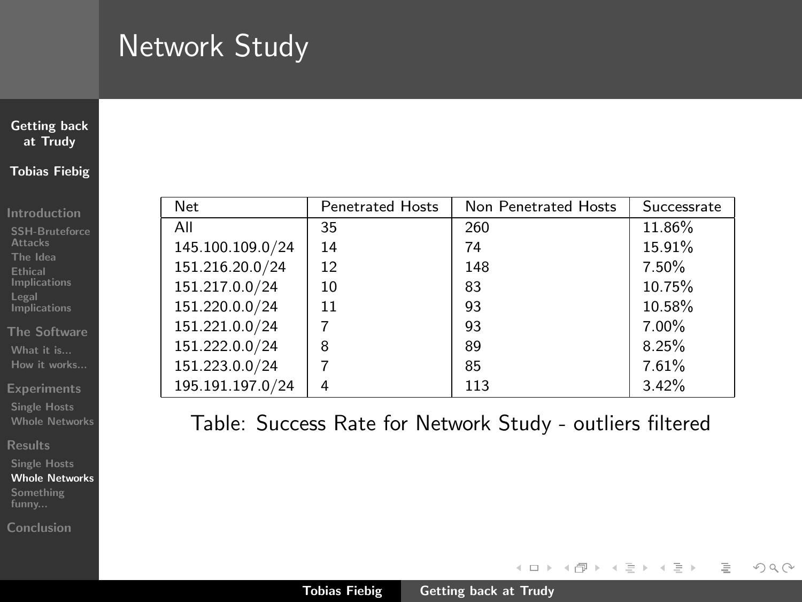# Network Study

### [Getting back](#page-0-0) at Trudy Tobias Fiebig

#### [Introduction](#page-1-0)

| <b>SSH-Bruteforce</b><br><b>Attacks</b> |
|-----------------------------------------|
| The Idea                                |
| <b>Ethical</b><br>Implications          |
| Legal<br>Implications                   |

[The Software](#page-21-0) [What it is...](#page-21-0) [How it works...](#page-25-0)

[Experiments](#page-26-0)

[Single Hosts](#page-26-0) [Whole Networks](#page-27-0)

[Results](#page-28-0)

[Single Hosts](#page-28-0) [Whole Networks](#page-31-0)

[Something](#page-36-0)

[Conclusion](#page-41-0)

| <b>Net</b>       | <b>Penetrated Hosts</b> | Non Penetrated Hosts | Successrate |
|------------------|-------------------------|----------------------|-------------|
| All              | 35                      | 260                  | 11.86%      |
| 145.100.109.0/24 | 14                      | 74                   | 15.91%      |
| 151.216.20.0/24  | 12                      | 148                  | 7.50%       |
| 151.217.0.0/24   | 10                      | 83                   | 10.75%      |
| 151.220.0.0/24   | 11                      | 93                   | 10.58%      |
| 151.221.0.0/24   |                         | 93                   | $7.00\%$    |
| 151.222.0.0/24   | 8                       | 89                   | 8.25%       |
| 151.223.0.0/24   |                         | 85                   | 7.61%       |
| 195.191.197.0/24 |                         | 113                  | 3.42%       |

Table: Success Rate for Network Study - outliers filtered

イロト イ部 トイミト イヨト

 $\equiv$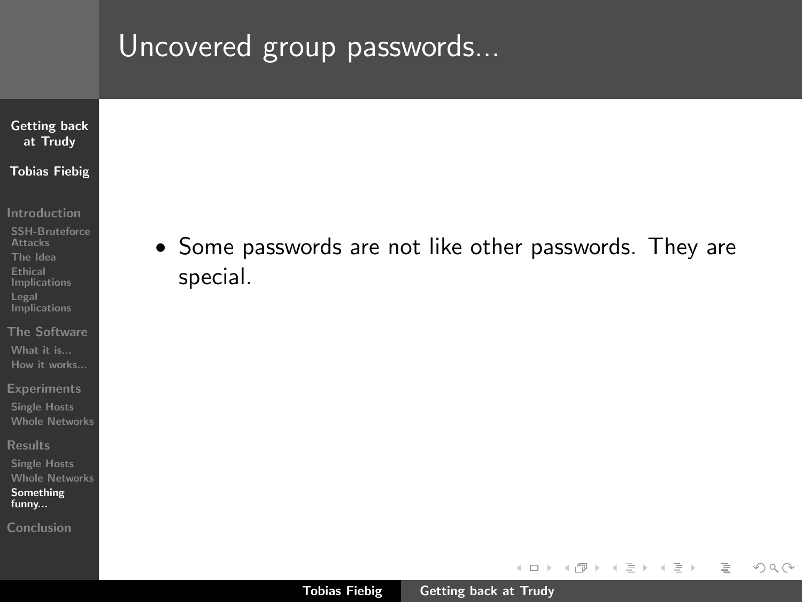## Uncovered group passwords...

### [Getting back](#page-0-0) at Trudy Tobias Fiebig

[Introduction](#page-1-0)

- [SSH-Bruteforce](#page-1-0) Attacks [The Idea](#page-2-0) Ethical [Implications](#page-15-0) Legal **[Implications](#page-19-0)**
- [The Software](#page-21-0) [What it is...](#page-21-0) [How it works...](#page-25-0)
- **[Experiments](#page-26-0)**
- [Single Hosts](#page-26-0) [Whole Networks](#page-27-0)
- [Results](#page-28-0)
- [Single Hosts](#page-28-0) [Whole Networks](#page-31-0) [Something](#page-38-0) funny...
- [Conclusion](#page-41-0)

• Some passwords are not like other passwords. They are special.

イロト イ部 トイミト イヨト

<span id="page-36-0"></span>言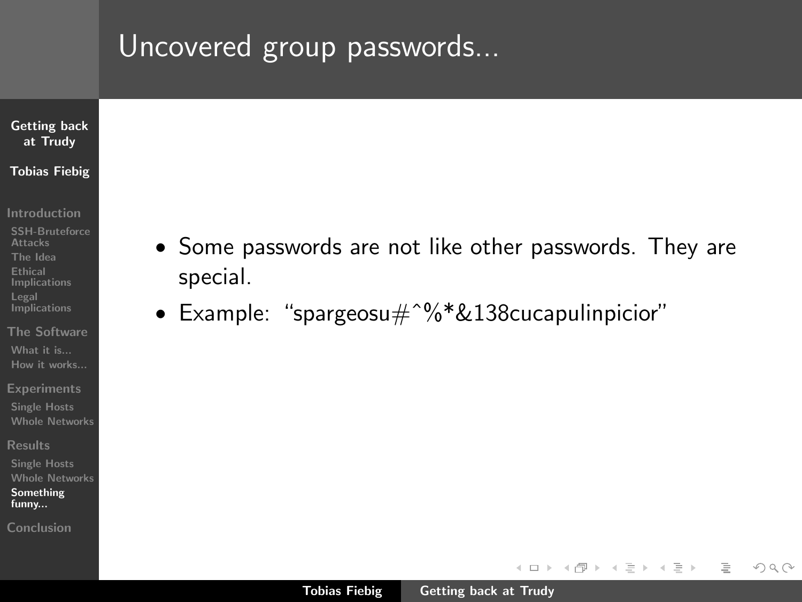## Uncovered group passwords...

### [Getting back](#page-0-0) at Trudy Tobias Fiebig

- [Introduction](#page-1-0)
- [SSH-Bruteforce](#page-1-0) Attacks [The Idea](#page-2-0) Ethical [Implications](#page-15-0) Legal **[Implications](#page-19-0)**
- [The Software](#page-21-0) [What it is...](#page-21-0) [How it works...](#page-25-0)
- **[Experiments](#page-26-0)**
- [Single Hosts](#page-26-0) [Whole Networks](#page-27-0)
- [Results](#page-28-0)
- [Whole Networks](#page-31-0) [Something](#page-38-0) funny...
- [Conclusion](#page-41-0)
- Some passwords are not like other passwords. They are special.
- Example: "spargeosu#^%\*&138cucapulinpicior"

イロト マ母 トマチト マチト

 $\equiv$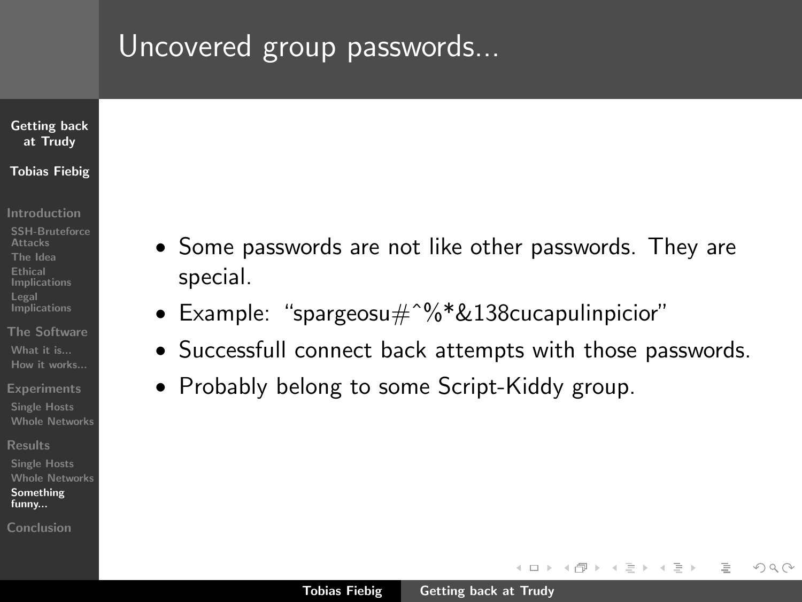## Uncovered group passwords...

### [Getting back](#page-0-0) at Trudy Tobias Fiebig

- [Introduction](#page-1-0)
- [SSH-Bruteforce](#page-1-0) Attacks [The Idea](#page-2-0) Ethical [Implications](#page-15-0) Legal **[Implications](#page-19-0)**
- [The Software](#page-21-0) [What it is...](#page-21-0) [How it works...](#page-25-0)
- **[Experiments](#page-26-0)**
- [Single Hosts](#page-26-0) [Whole Networks](#page-27-0)
- [Results](#page-28-0)
- [Single Hosts](#page-28-0) [Whole Networks](#page-31-0) [Something](#page-36-0) funny...
- [Conclusion](#page-41-0)
- Some passwords are not like other passwords. They are special.
- Example: "spargeosu#ˆ%\*&138cucapulinpicior"
- Successfull connect back attempts with those passwords.
- Probably belong to some Script-Kiddy group.

イロト イ母 トラ ミッ イチャ

<span id="page-38-0"></span> $\Omega$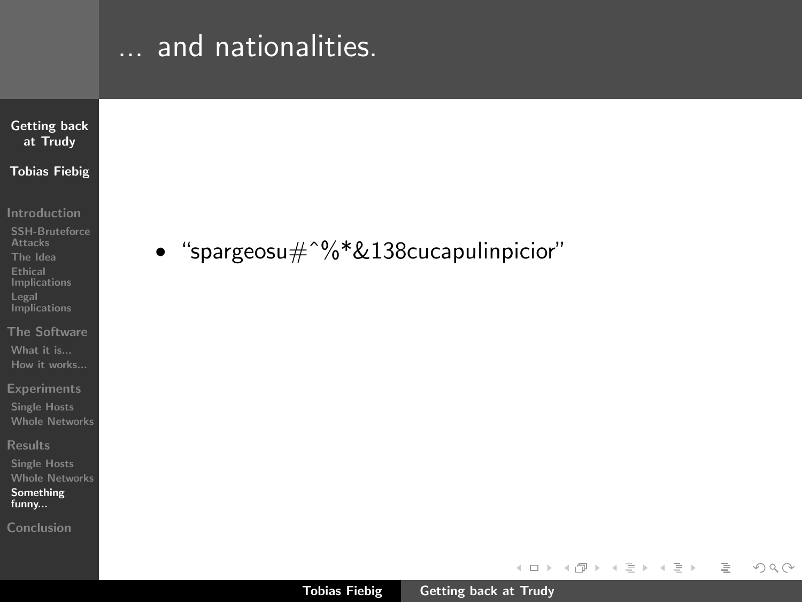# ... and nationalities.



[Introduction](#page-1-0)

- [SSH-Bruteforce](#page-1-0) **Attacks** [The Idea](#page-2-0) Ethical [Implications](#page-15-0) Legal **[Implications](#page-19-0)**
- [The Software](#page-21-0) [What it is...](#page-21-0) [How it works...](#page-25-0)
- 
- [Single Hosts](#page-26-0) [Whole Networks](#page-27-0)
- [Results](#page-28-0)
- [Single Hosts](#page-28-0) [Whole Networks](#page-31-0) [Something](#page-36-0) funny...
- [Conclusion](#page-41-0)

• "spargeosu $\text{#}^{\text{o}}\text{%}^* \& 138$ cucapulinpicior"

イロト イ部 トイミト イヨト

 $\equiv$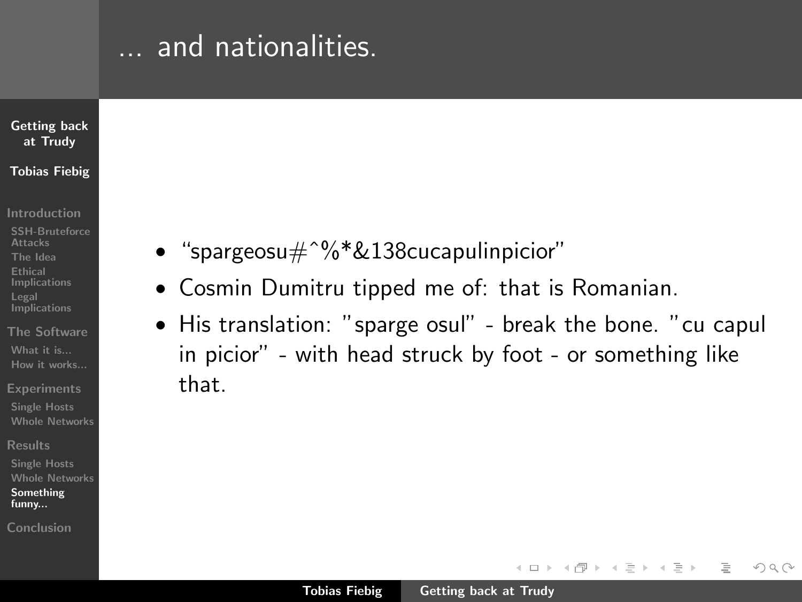## ... and nationalities.

### [Getting back](#page-0-0) at Trudy Tobias Fiebig

- [Introduction](#page-1-0)
- [SSH-Bruteforce](#page-1-0) Attacks [The Idea](#page-2-0) Ethical [Implications](#page-15-0) Legal **[Implications](#page-19-0)**
- [The Software](#page-21-0)  $What + i\epsilon$ ... [How it works...](#page-25-0)
- **[Experiments](#page-26-0)**
- [Single Hosts](#page-26-0) [Whole Networks](#page-27-0)
- [Results](#page-28-0)
- [Single Hosts](#page-28-0) [Whole Networks](#page-31-0) [Something](#page-36-0) funny...
- [Conclusion](#page-41-0)
- "spargeosu $\text{#}^{\text{o}}\text{%}^* \& 138$ cucapulinpicior"
- Cosmin Dumitru tipped me of: that is Romanian.
- His translation: "sparge osul" break the bone. "cu capul in picior" - with head struck by foot - or something like that.

イロト イ母 トラ ミッ イチャ

 $\Omega$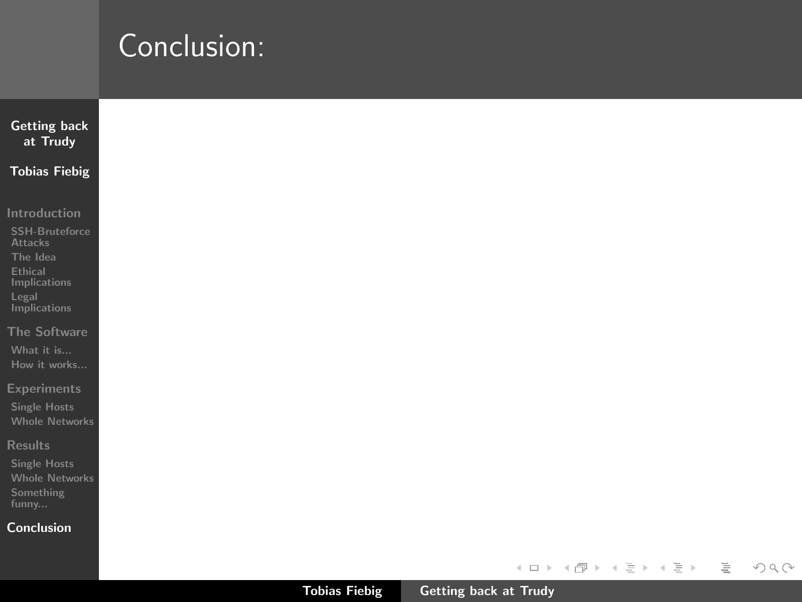<span id="page-41-0"></span>

| Conclusion: |
|-------------|
|             |

| <b>Getting back</b><br>at Trudy       |
|---------------------------------------|
| <b>Tobias Fiebig</b>                  |
|                                       |
| Introduction                          |
| SSH-Bruteforce<br><b>Attacks</b>      |
| The Idea<br>Ethical                   |
| Implications<br>Legal                 |
| Implications                          |
| <b>The Software</b>                   |
| What it is<br>How it works            |
| <b>Experiments</b>                    |
| <b>Single Hosts</b>                   |
| <b>Whole Networks</b>                 |
| <b>Results</b><br><b>Single Hosts</b> |
| <b>Whole Networks</b>                 |
| Something<br>funny                    |
| Conclusion                            |
|                                       |
|                                       |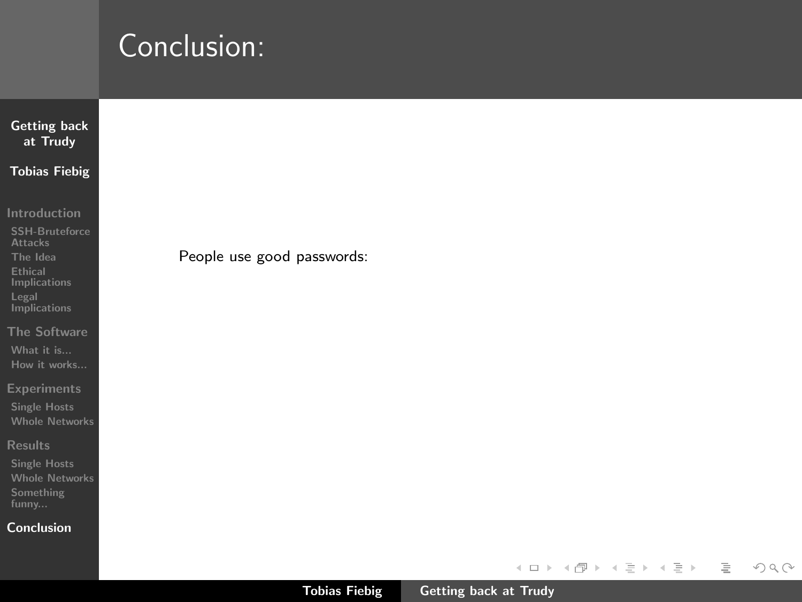| <b>Getting back</b><br>at Trudy                                                                                  |                            |
|------------------------------------------------------------------------------------------------------------------|----------------------------|
| <b>Tobias Fiebig</b>                                                                                             |                            |
| Introduction<br>SSH-Bruteforce<br><b>Attacks</b><br>The Idea<br>Ethical<br>Implications<br>Legal<br>Implications | People use good passwords: |
| <b>The Software</b><br>What it is<br>How it works                                                                |                            |
| <b>Experiments</b><br><b>Single Hosts</b><br><b>Whole Networks</b>                                               |                            |
| <b>Results</b><br><b>Single Hosts</b><br><b>Whole Networks</b><br>Something<br>funny                             |                            |
| Conclusion                                                                                                       |                            |

 $\begin{picture}(160,170) \put(0,0){\line(1,0){10}} \put(10,0){\line(1,0){10}} \put(10,0){\line(1,0){10}} \put(10,0){\line(1,0){10}} \put(10,0){\line(1,0){10}} \put(10,0){\line(1,0){10}} \put(10,0){\line(1,0){10}} \put(10,0){\line(1,0){10}} \put(10,0){\line(1,0){10}} \put(10,0){\line(1,0){10}} \put(10,0){\line(1,0){10}} \put(10,0){\line$ 

 $\equiv$ 

イロト イ団 トイモト イモトー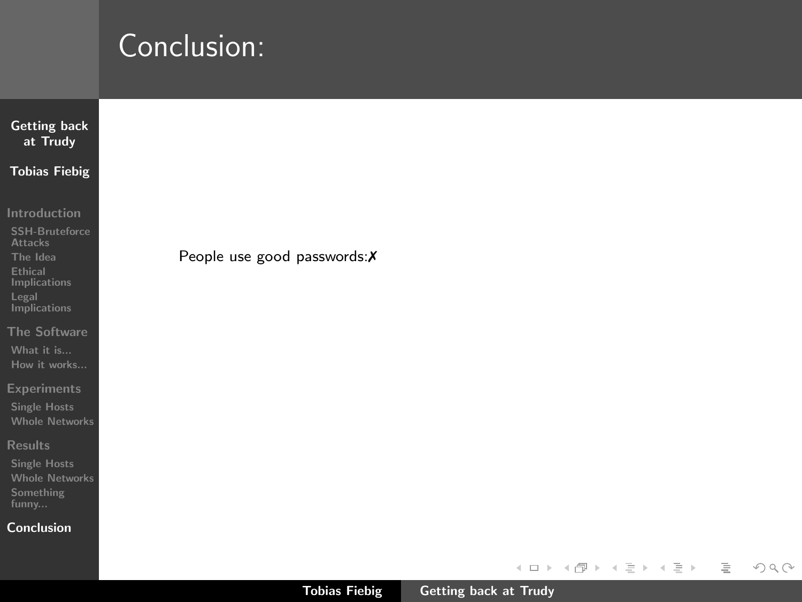| <b>Getting back</b><br>at Trudy                                     |
|---------------------------------------------------------------------|
| <b>Tobias Fiebig</b>                                                |
| Introduction<br><b>SSH-Bruteforce</b><br><b>Attacks</b><br>The Idea |
| Ethical<br>Implications<br>Legal<br><b>Implications</b>             |
| The Software<br>What it is                                          |
| How it works<br><b>Experiments</b><br><b>Single Hosts</b>           |
| <b>Whole Networks</b><br><b>Results</b>                             |
| <b>Single Hosts</b><br><b>Whole Networks</b><br>Something<br>funny  |
| Conclusion                                                          |

 $\begin{picture}(160,170) \put(0,0){\line(1,0){10}} \put(10,0){\line(1,0){10}} \put(10,0){\line(1,0){10}} \put(10,0){\line(1,0){10}} \put(10,0){\line(1,0){10}} \put(10,0){\line(1,0){10}} \put(10,0){\line(1,0){10}} \put(10,0){\line(1,0){10}} \put(10,0){\line(1,0){10}} \put(10,0){\line(1,0){10}} \put(10,0){\line(1,0){10}} \put(10,0){\line$ 

 $\equiv$ 

イロト イ団 トイモト イモトー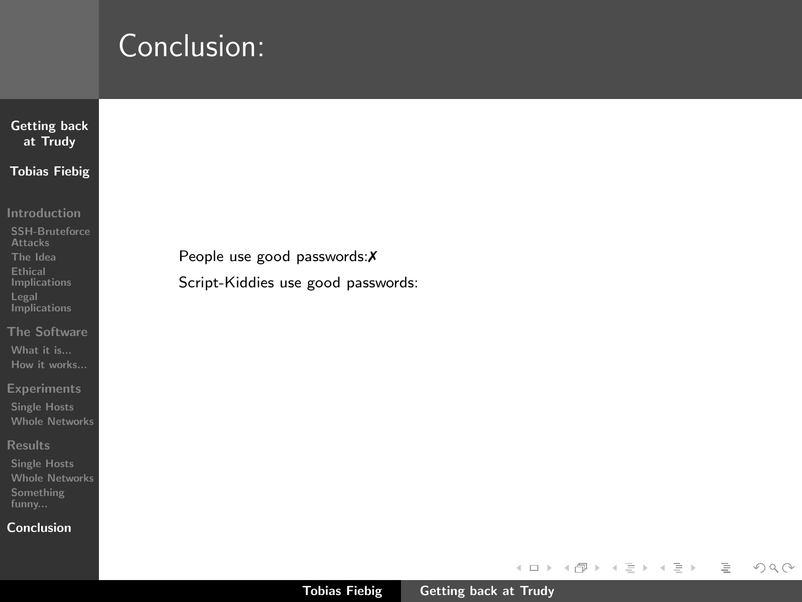| <b>Getting back</b><br>at Trudy                                                                                                                                                     |                                                                    |
|-------------------------------------------------------------------------------------------------------------------------------------------------------------------------------------|--------------------------------------------------------------------|
| <b>Tobias Fiebig</b>                                                                                                                                                                |                                                                    |
| Introduction<br><b>SSH-Bruteforce</b><br><b>Attacks</b><br>The Idea<br><b>Ethical</b><br>Implications<br>Legal<br><b>Implications</b><br>The Software<br>What it is<br>How it works | People use good passwords: X<br>Script-Kiddies use good passwords: |
| <b>Experiments</b><br><b>Single Hosts</b><br><b>Whole Networks</b><br><b>Results</b><br><b>Single Hosts</b><br><b>Whole Networks</b><br>Something<br>funny                          |                                                                    |

#### [Conclusion](#page-41-0)

イロト イ団ト イミト イモト

 $\begin{picture}(160,170) \put(0,0){\line(1,0){10}} \put(10,0){\line(1,0){10}} \put(10,0){\line(1,0){10}} \put(10,0){\line(1,0){10}} \put(10,0){\line(1,0){10}} \put(10,0){\line(1,0){10}} \put(10,0){\line(1,0){10}} \put(10,0){\line(1,0){10}} \put(10,0){\line(1,0){10}} \put(10,0){\line(1,0){10}} \put(10,0){\line(1,0){10}} \put(10,0){\line$ 

 $\equiv$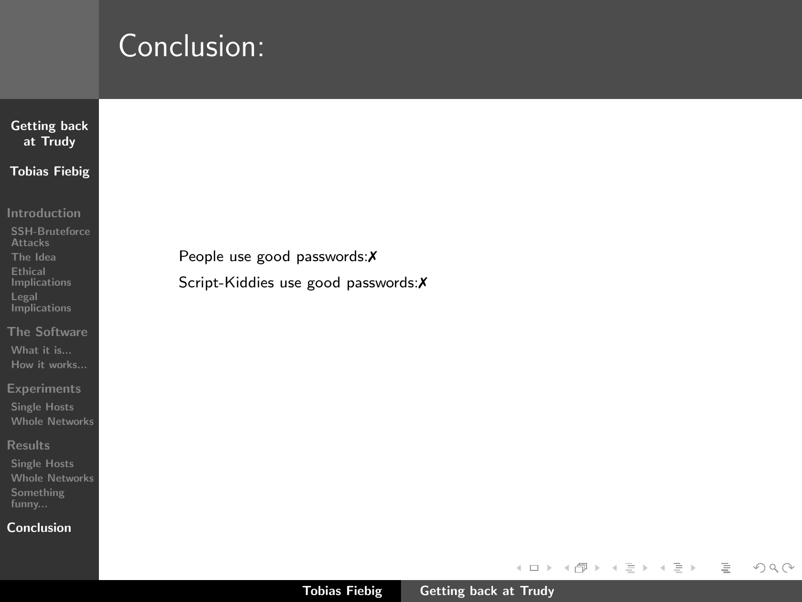| <b>Getting back</b><br>at Trudy                                                                                                |                                                                      |
|--------------------------------------------------------------------------------------------------------------------------------|----------------------------------------------------------------------|
| <b>Tobias Fiebig</b>                                                                                                           |                                                                      |
| Introduction<br><b>SSH-Bruteforce</b><br><b>Attacks</b><br>The Idea<br>Ethical<br>Implications<br>Legal<br><b>Implications</b> | People use good passwords: X<br>Script-Kiddies use good passwords: X |
| The Software<br>What it is<br>How it works                                                                                     |                                                                      |
| <b>Experiments</b><br><b>Single Hosts</b><br><b>Whole Networks</b>                                                             |                                                                      |
| <b>Results</b><br><b>Single Hosts</b><br><b>Whole Networks</b><br>Something                                                    |                                                                      |

#### [Conclusion](#page-41-0)

 $\begin{picture}(160,170) \put(0,0){\line(1,0){10}} \put(10,0){\line(1,0){10}} \put(10,0){\line(1,0){10}} \put(10,0){\line(1,0){10}} \put(10,0){\line(1,0){10}} \put(10,0){\line(1,0){10}} \put(10,0){\line(1,0){10}} \put(10,0){\line(1,0){10}} \put(10,0){\line(1,0){10}} \put(10,0){\line(1,0){10}} \put(10,0){\line(1,0){10}} \put(10,0){\line$ 

 $\equiv$ 

イロト イ部 トイモト イモトー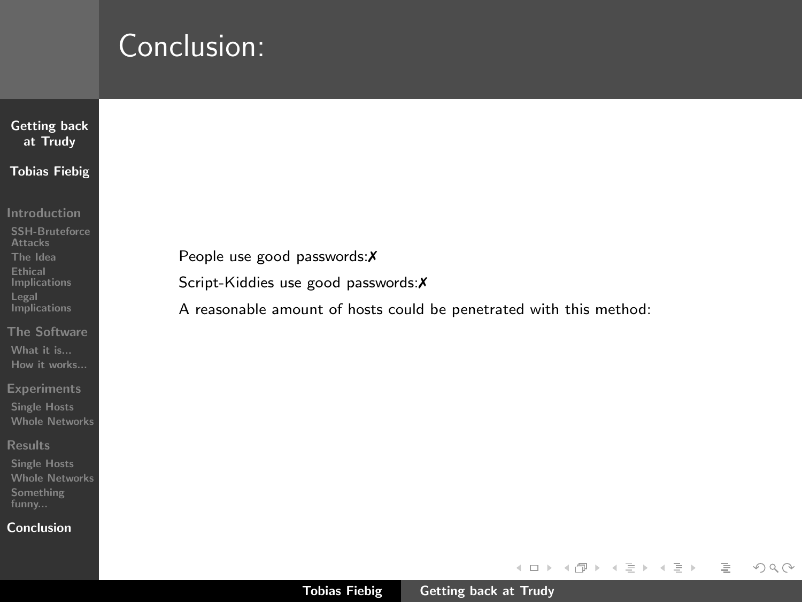| <b>Getting back</b><br>at Trudy                                                                         |                                                                        |
|---------------------------------------------------------------------------------------------------------|------------------------------------------------------------------------|
| <b>Tobias Fiebig</b>                                                                                    |                                                                        |
| Introduction<br><b>SSH-Bruteforce</b><br><b>Attacks</b><br>The Idea<br>Ethical<br>Implications<br>Legal | People use good passwords: $X$<br>Script-Kiddies use good passwords: X |
| Implications<br>The Software<br>What it is<br>How it works                                              | A reasonable amount of hosts could be penetrated with this method:     |
| <b>Experiments</b><br><b>Single Hosts</b><br><b>Whole Networks</b>                                      |                                                                        |
| <b>Results</b><br><b>Single Hosts</b><br><b>Whole Networks</b>                                          |                                                                        |

#### [Conclusion](#page-41-0)

イロン イ団ン イミン イミン

 $\equiv$ 

 $\begin{picture}(160,170) \put(0,0){\line(1,0){10}} \put(10,0){\line(1,0){10}} \put(10,0){\line(1,0){10}} \put(10,0){\line(1,0){10}} \put(10,0){\line(1,0){10}} \put(10,0){\line(1,0){10}} \put(10,0){\line(1,0){10}} \put(10,0){\line(1,0){10}} \put(10,0){\line(1,0){10}} \put(10,0){\line(1,0){10}} \put(10,0){\line(1,0){10}} \put(10,0){\line$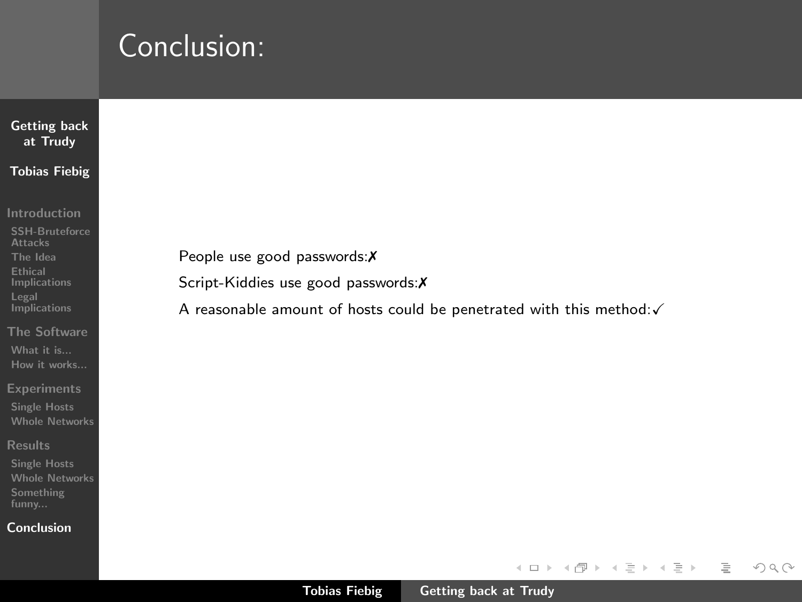| People use good passwords: $X$ |                                                                                 |
|--------------------------------|---------------------------------------------------------------------------------|
|                                | Script-Kiddies use good passwords: X                                            |
|                                | A reasonable amount of hosts could be penetrated with this method: $\checkmark$ |
|                                |                                                                                 |
|                                |                                                                                 |
|                                |                                                                                 |
|                                |                                                                                 |
|                                |                                                                                 |

#### [Conclusion](#page-41-0)

イロト イ団ト イミト イモト

 $\begin{picture}(160,170) \put(0,0){\line(1,0){10}} \put(10,0){\line(1,0){10}} \put(10,0){\line(1,0){10}} \put(10,0){\line(1,0){10}} \put(10,0){\line(1,0){10}} \put(10,0){\line(1,0){10}} \put(10,0){\line(1,0){10}} \put(10,0){\line(1,0){10}} \put(10,0){\line(1,0){10}} \put(10,0){\line(1,0){10}} \put(10,0){\line(1,0){10}} \put(10,0){\line$ 

 $\equiv$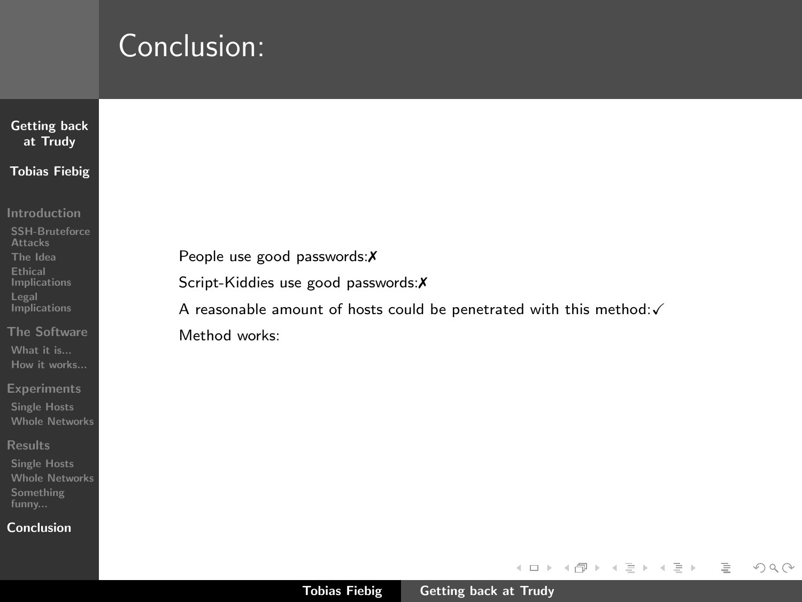| <b>Getting back</b><br>at Trudy                                    |
|--------------------------------------------------------------------|
| <b>Tobias Fiebig</b>                                               |
| Introduction<br><b>SSH-Bruteforce</b>                              |
| <b>Attacks</b><br>The Idea                                         |
| Ethical<br>Implications<br>Legal                                   |
| <b>Implications</b>                                                |
| The Software<br>What it is                                         |
| How it works<br><b>Experiments</b>                                 |
| <b>Single Hosts</b><br><b>Whole Networks</b>                       |
| <b>Results</b>                                                     |
| <b>Single Hosts</b><br><b>Whole Networks</b><br>Something<br>funny |

#### **[Conclusion](#page-41-0)**

 $\begin{picture}(160,170) \put(0,0){\line(1,0){10}} \put(10,0){\line(1,0){10}} \put(10,0){\line(1,0){10}} \put(10,0){\line(1,0){10}} \put(10,0){\line(1,0){10}} \put(10,0){\line(1,0){10}} \put(10,0){\line(1,0){10}} \put(10,0){\line(1,0){10}} \put(10,0){\line(1,0){10}} \put(10,0){\line(1,0){10}} \put(10,0){\line(1,0){10}} \put(10,0){\line$ 

 $\equiv$ 

イロト イ部 トイモト イモトー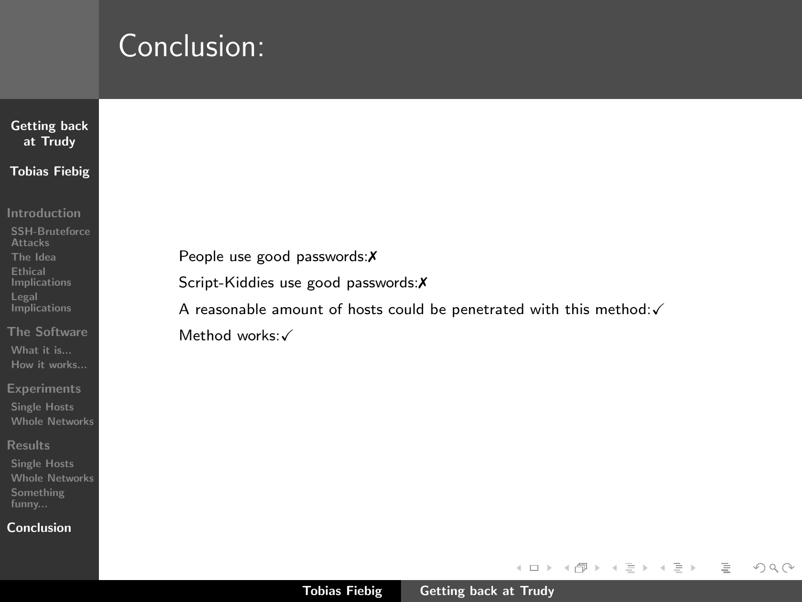| <b>Getting back</b><br>at Trudy              |
|----------------------------------------------|
| <b>Tobias Fiebig</b>                         |
|                                              |
| Introduction                                 |
| <b>SSH-Bruteforce</b><br><b>Attacks</b>      |
| The Idea                                     |
| Ethical<br>Implications                      |
| Legal<br>Implications                        |
| The Software                                 |
| What it is                                   |
| How it works                                 |
| <b>Experiments</b>                           |
| <b>Single Hosts</b>                          |
| <b>Whole Networks</b>                        |
| <b>Results</b>                               |
| <b>Single Hosts</b><br><b>Whole Networks</b> |
| Something                                    |
| funny                                        |
| Conclusion                                   |

 $\circledcirc \circledcirc \circledcirc$ 

 $\equiv$ 

イロト イ部 トイモト イモトー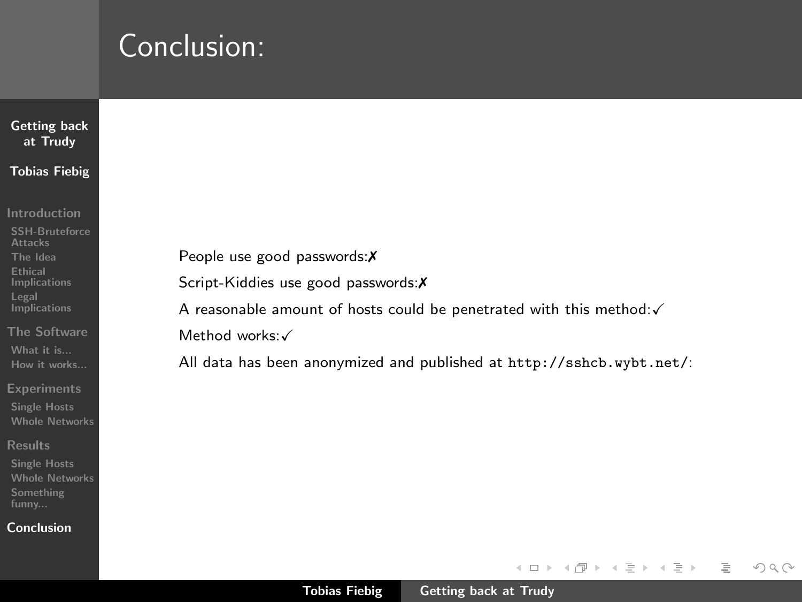| <b>Getting back</b><br>at Trudy                                    |                                                                                 |
|--------------------------------------------------------------------|---------------------------------------------------------------------------------|
| <b>Tobias Fiebig</b>                                               |                                                                                 |
| Introduction<br><b>SSH-Bruteforce</b><br><b>Attacks</b>            |                                                                                 |
| The Idea                                                           | People use good passwords: X                                                    |
| <b>Ethical</b><br><b>Implications</b>                              | Script-Kiddies use good passwords: X                                            |
| Legal<br>Implications                                              | A reasonable amount of hosts could be penetrated with this method: $\checkmark$ |
| The Software                                                       | Method works:√                                                                  |
| What it is<br>How it works                                         | All data has been anonymized and published at http://sshcb.wybt.net/:           |
| <b>Experiments</b><br><b>Single Hosts</b><br><b>Whole Networks</b> |                                                                                 |
| <b>Results</b>                                                     |                                                                                 |
| <b>Single Hosts</b><br><b>Whole Networks</b>                       |                                                                                 |
| Something<br>funny                                                 |                                                                                 |

#### [Conclusion](#page-41-0)

 $\begin{picture}(160,170) \put(0,0){\line(1,0){10}} \put(10,0){\line(1,0){10}} \put(10,0){\line(1,0){10}} \put(10,0){\line(1,0){10}} \put(10,0){\line(1,0){10}} \put(10,0){\line(1,0){10}} \put(10,0){\line(1,0){10}} \put(10,0){\line(1,0){10}} \put(10,0){\line(1,0){10}} \put(10,0){\line(1,0){10}} \put(10,0){\line(1,0){10}} \put(10,0){\line$ 

 $\equiv$ 

イロト イ団 トイモト イモトー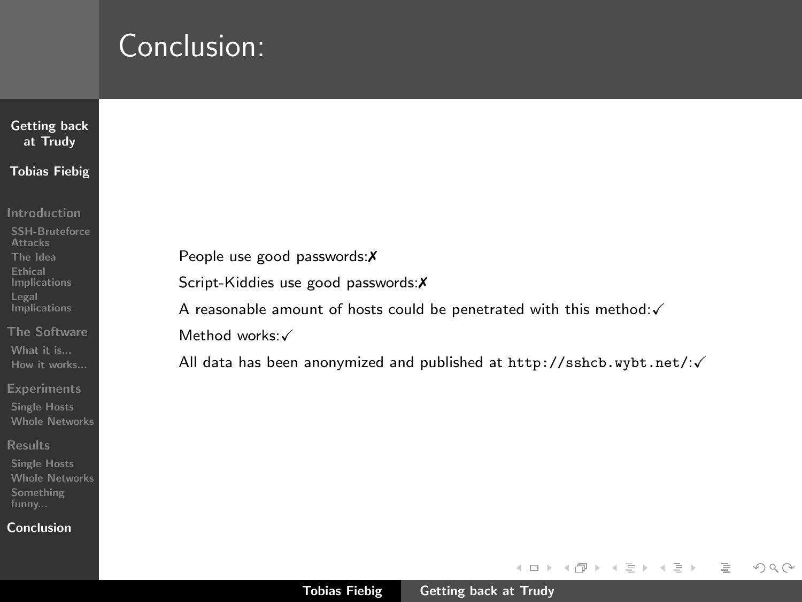| <b>Getting back</b><br>at Trudy                                |                                                                                 |
|----------------------------------------------------------------|---------------------------------------------------------------------------------|
| <b>Tobias Fiebig</b>                                           |                                                                                 |
| <b>Introduction</b><br><b>SSH-Bruteforce</b><br><b>Attacks</b> |                                                                                 |
| The Idea                                                       | People use good passwords: $X$                                                  |
| <b>Ethical</b><br><b>Implications</b>                          | Script-Kiddies use good passwords: X                                            |
| Legal<br>Implications                                          | A reasonable amount of hosts could be penetrated with this method: $\checkmark$ |
| The Software                                                   | Method works:√                                                                  |
| What it is<br>How it works                                     | All data has been anonymized and published at $http://sshcb.wybt.net/\sqrt{}$   |
| <b>Experiments</b>                                             |                                                                                 |
| <b>Single Hosts</b><br><b>Whole Networks</b>                   |                                                                                 |
| <b>Results</b>                                                 |                                                                                 |
| <b>Single Hosts</b><br><b>Whole Networks</b>                   |                                                                                 |
| Something<br>funny                                             |                                                                                 |

#### [Conclusion](#page-41-0)

 $\begin{picture}(160,170) \put(0,0){\line(1,0){10}} \put(10,0){\line(1,0){10}} \put(10,0){\line(1,0){10}} \put(10,0){\line(1,0){10}} \put(10,0){\line(1,0){10}} \put(10,0){\line(1,0){10}} \put(10,0){\line(1,0){10}} \put(10,0){\line(1,0){10}} \put(10,0){\line(1,0){10}} \put(10,0){\line(1,0){10}} \put(10,0){\line(1,0){10}} \put(10,0){\line$ 

 $\equiv$ 

イロト イ団 トイモト イモトー